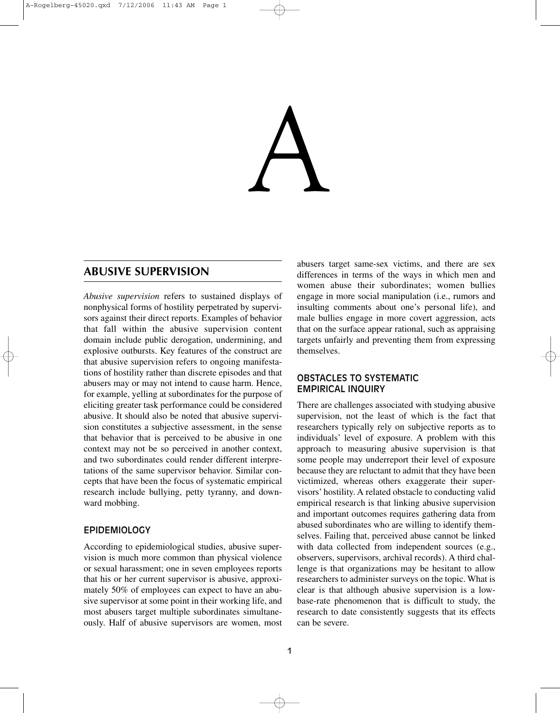

## **ABUSIVE SUPERVISION**

*Abusive supervision* refers to sustained displays of nonphysical forms of hostility perpetrated by supervisors against their direct reports. Examples of behavior that fall within the abusive supervision content domain include public derogation, undermining, and explosive outbursts. Key features of the construct are that abusive supervision refers to ongoing manifestations of hostility rather than discrete episodes and that abusers may or may not intend to cause harm. Hence, for example, yelling at subordinates for the purpose of eliciting greater task performance could be considered abusive. It should also be noted that abusive supervision constitutes a subjective assessment, in the sense that behavior that is perceived to be abusive in one context may not be so perceived in another context, and two subordinates could render different interpretations of the same supervisor behavior. Similar concepts that have been the focus of systematic empirical research include bullying, petty tyranny, and downward mobbing.

## EPIDEMIOLOGY

According to epidemiological studies, abusive supervision is much more common than physical violence or sexual harassment; one in seven employees reports that his or her current supervisor is abusive, approximately 50% of employees can expect to have an abusive supervisor at some point in their working life, and most abusers target multiple subordinates simultaneously. Half of abusive supervisors are women, most abusers target same-sex victims, and there are sex differences in terms of the ways in which men and women abuse their subordinates; women bullies engage in more social manipulation (i.e., rumors and insulting comments about one's personal life), and male bullies engage in more covert aggression, acts that on the surface appear rational, such as appraising targets unfairly and preventing them from expressing themselves.

## OBSTACLES TO SYSTEMATIC EMPIRICAL INQUIRY

There are challenges associated with studying abusive supervision, not the least of which is the fact that researchers typically rely on subjective reports as to individuals' level of exposure. A problem with this approach to measuring abusive supervision is that some people may underreport their level of exposure because they are reluctant to admit that they have been victimized, whereas others exaggerate their supervisors' hostility. A related obstacle to conducting valid empirical research is that linking abusive supervision and important outcomes requires gathering data from abused subordinates who are willing to identify themselves. Failing that, perceived abuse cannot be linked with data collected from independent sources (e.g., observers, supervisors, archival records). A third challenge is that organizations may be hesitant to allow researchers to administer surveys on the topic. What is clear is that although abusive supervision is a lowbase-rate phenomenon that is difficult to study, the research to date consistently suggests that its effects can be severe.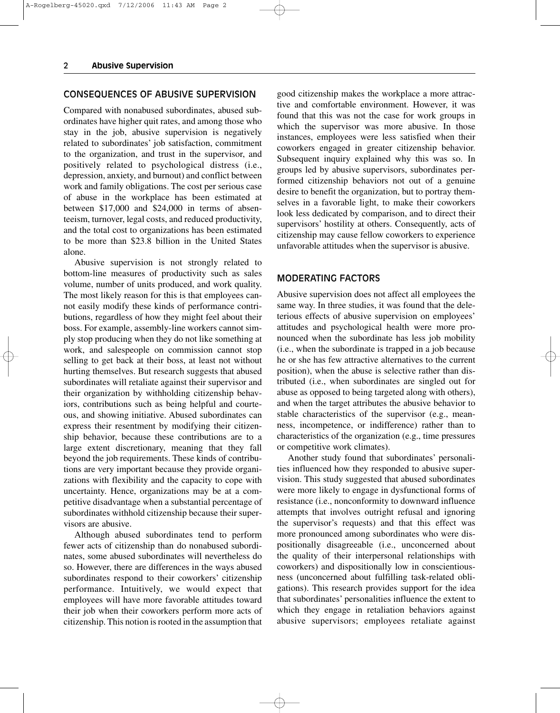

## CONSEQUENCES OF ABUSIVE SUPERVISION

Compared with nonabused subordinates, abused subordinates have higher quit rates, and among those who stay in the job, abusive supervision is negatively related to subordinates' job satisfaction, commitment to the organization, and trust in the supervisor, and positively related to psychological distress (i.e., depression, anxiety, and burnout) and conflict between work and family obligations. The cost per serious case of abuse in the workplace has been estimated at between \$17,000 and \$24,000 in terms of absenteeism, turnover, legal costs, and reduced productivity, and the total cost to organizations has been estimated to be more than \$23.8 billion in the United States alone.

Abusive supervision is not strongly related to bottom-line measures of productivity such as sales volume, number of units produced, and work quality. The most likely reason for this is that employees cannot easily modify these kinds of performance contributions, regardless of how they might feel about their boss. For example, assembly-line workers cannot simply stop producing when they do not like something at work, and salespeople on commission cannot stop selling to get back at their boss, at least not without hurting themselves. But research suggests that abused subordinates will retaliate against their supervisor and their organization by withholding citizenship behaviors, contributions such as being helpful and courteous, and showing initiative. Abused subordinates can express their resentment by modifying their citizenship behavior, because these contributions are to a large extent discretionary, meaning that they fall beyond the job requirements. These kinds of contributions are very important because they provide organizations with flexibility and the capacity to cope with uncertainty. Hence, organizations may be at a competitive disadvantage when a substantial percentage of subordinates withhold citizenship because their supervisors are abusive.

Although abused subordinates tend to perform fewer acts of citizenship than do nonabused subordinates, some abused subordinates will nevertheless do so. However, there are differences in the ways abused subordinates respond to their coworkers' citizenship performance. Intuitively, we would expect that employees will have more favorable attitudes toward their job when their coworkers perform more acts of citizenship. This notion is rooted in the assumption that good citizenship makes the workplace a more attractive and comfortable environment. However, it was found that this was not the case for work groups in which the supervisor was more abusive. In those instances, employees were less satisfied when their coworkers engaged in greater citizenship behavior. Subsequent inquiry explained why this was so. In groups led by abusive supervisors, subordinates performed citizenship behaviors not out of a genuine desire to benefit the organization, but to portray themselves in a favorable light, to make their coworkers look less dedicated by comparison, and to direct their supervisors' hostility at others. Consequently, acts of citizenship may cause fellow coworkers to experience unfavorable attitudes when the supervisor is abusive.

## MODERATING FACTORS

Abusive supervision does not affect all employees the same way. In three studies, it was found that the deleterious effects of abusive supervision on employees' attitudes and psychological health were more pronounced when the subordinate has less job mobility (i.e., when the subordinate is trapped in a job because he or she has few attractive alternatives to the current position), when the abuse is selective rather than distributed (i.e., when subordinates are singled out for abuse as opposed to being targeted along with others), and when the target attributes the abusive behavior to stable characteristics of the supervisor (e.g., meanness, incompetence, or indifference) rather than to characteristics of the organization (e.g., time pressures or competitive work climates).

Another study found that subordinates' personalities influenced how they responded to abusive supervision. This study suggested that abused subordinates were more likely to engage in dysfunctional forms of resistance (i.e., nonconformity to downward influence attempts that involves outright refusal and ignoring the supervisor's requests) and that this effect was more pronounced among subordinates who were dispositionally disagreeable (i.e., unconcerned about the quality of their interpersonal relationships with coworkers) and dispositionally low in conscientiousness (unconcerned about fulfilling task-related obligations). This research provides support for the idea that subordinates' personalities influence the extent to which they engage in retaliation behaviors against abusive supervisors; employees retaliate against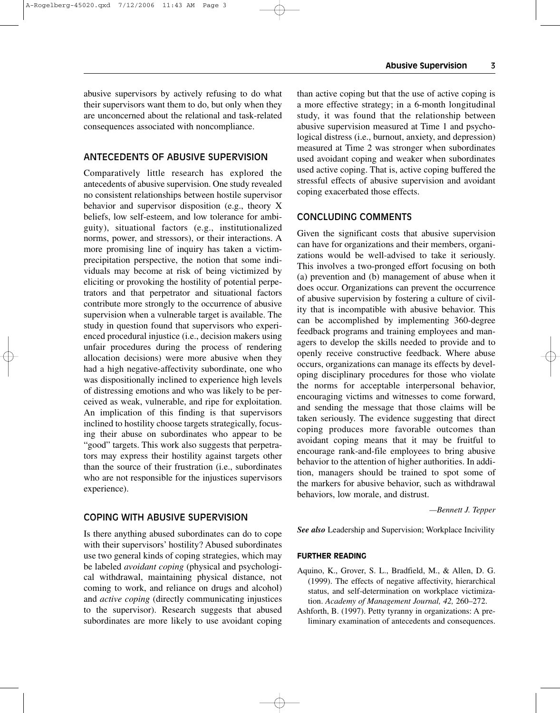abusive supervisors by actively refusing to do what their supervisors want them to do, but only when they are unconcerned about the relational and task-related consequences associated with noncompliance.

### ANTECEDENTS OF ABUSIVE SUPERVISION

Comparatively little research has explored the antecedents of abusive supervision. One study revealed no consistent relationships between hostile supervisor behavior and supervisor disposition (e.g., theory X beliefs, low self-esteem, and low tolerance for ambiguity), situational factors (e.g., institutionalized norms, power, and stressors), or their interactions. A more promising line of inquiry has taken a victimprecipitation perspective, the notion that some individuals may become at risk of being victimized by eliciting or provoking the hostility of potential perpetrators and that perpetrator and situational factors contribute more strongly to the occurrence of abusive supervision when a vulnerable target is available. The study in question found that supervisors who experienced procedural injustice (i.e., decision makers using unfair procedures during the process of rendering allocation decisions) were more abusive when they had a high negative-affectivity subordinate, one who was dispositionally inclined to experience high levels of distressing emotions and who was likely to be perceived as weak, vulnerable, and ripe for exploitation. An implication of this finding is that supervisors inclined to hostility choose targets strategically, focusing their abuse on subordinates who appear to be "good" targets. This work also suggests that perpetrators may express their hostility against targets other than the source of their frustration (i.e., subordinates who are not responsible for the injustices supervisors experience).

### COPING WITH ABUSIVE SUPERVISION

Is there anything abused subordinates can do to cope with their supervisors' hostility? Abused subordinates use two general kinds of coping strategies, which may be labeled *avoidant coping* (physical and psychological withdrawal, maintaining physical distance, not coming to work, and reliance on drugs and alcohol) and *active coping* (directly communicating injustices to the supervisor). Research suggests that abused subordinates are more likely to use avoidant coping than active coping but that the use of active coping is a more effective strategy; in a 6-month longitudinal study, it was found that the relationship between abusive supervision measured at Time 1 and psychological distress (i.e., burnout, anxiety, and depression) measured at Time 2 was stronger when subordinates used avoidant coping and weaker when subordinates used active coping. That is, active coping buffered the stressful effects of abusive supervision and avoidant coping exacerbated those effects.

## CONCLUDING COMMENTS

Given the significant costs that abusive supervision can have for organizations and their members, organizations would be well-advised to take it seriously. This involves a two-pronged effort focusing on both (a) prevention and (b) management of abuse when it does occur. Organizations can prevent the occurrence of abusive supervision by fostering a culture of civility that is incompatible with abusive behavior. This can be accomplished by implementing 360-degree feedback programs and training employees and managers to develop the skills needed to provide and to openly receive constructive feedback. Where abuse occurs, organizations can manage its effects by developing disciplinary procedures for those who violate the norms for acceptable interpersonal behavior, encouraging victims and witnesses to come forward, and sending the message that those claims will be taken seriously. The evidence suggesting that direct coping produces more favorable outcomes than avoidant coping means that it may be fruitful to encourage rank-and-file employees to bring abusive behavior to the attention of higher authorities. In addition, managers should be trained to spot some of the markers for abusive behavior, such as withdrawal behaviors, low morale, and distrust.

*—Bennett J. Tepper*

*See also* Leadership and Supervision; Workplace Incivility

#### **FURTHER READING**

- Aquino, K., Grover, S. L., Bradfield, M., & Allen, D. G. (1999). The effects of negative affectivity, hierarchical status, and self-determination on workplace victimization. *Academy of Management Journal, 42,* 260–272.
- Ashforth, B. (1997). Petty tyranny in organizations: A preliminary examination of antecedents and consequences.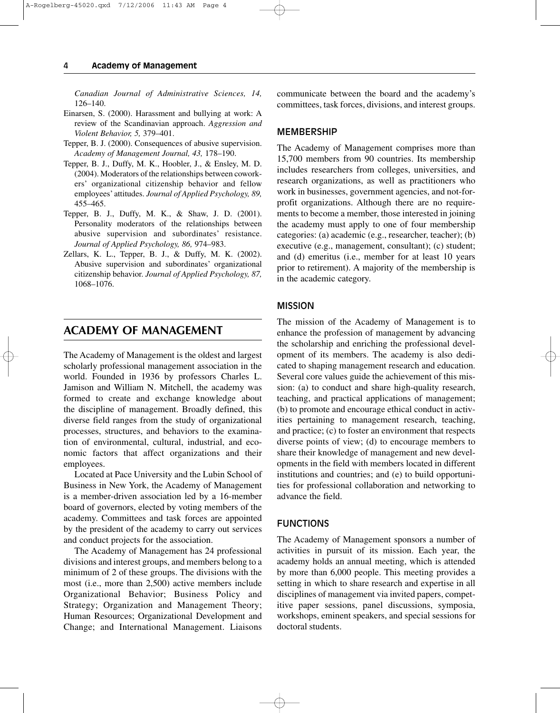#### 4———**Academy of Management**

*Canadian Journal of Administrative Sciences, 14,* 126–140.

- Einarsen, S. (2000). Harassment and bullying at work: A review of the Scandinavian approach. *Aggression and Violent Behavior, 5,* 379–401.
- Tepper, B. J. (2000). Consequences of abusive supervision. *Academy of Management Journal, 43,* 178–190.
- Tepper, B. J., Duffy, M. K., Hoobler, J., & Ensley, M. D. (2004). Moderators of the relationships between coworkers' organizational citizenship behavior and fellow employees' attitudes. *Journal of Applied Psychology, 89,* 455–465.
- Tepper, B. J., Duffy, M. K., & Shaw, J. D. (2001). Personality moderators of the relationships between abusive supervision and subordinates' resistance. *Journal of Applied Psychology, 86,* 974–983.
- Zellars, K. L., Tepper, B. J., & Duffy, M. K. (2002). Abusive supervision and subordinates' organizational citizenship behavior. *Journal of Applied Psychology, 87,* 1068–1076.

# **ACADEMY OF MANAGEMENT**

The Academy of Management is the oldest and largest scholarly professional management association in the world. Founded in 1936 by professors Charles L. Jamison and William N. Mitchell, the academy was formed to create and exchange knowledge about the discipline of management. Broadly defined, this diverse field ranges from the study of organizational processes, structures, and behaviors to the examination of environmental, cultural, industrial, and economic factors that affect organizations and their employees.

Located at Pace University and the Lubin School of Business in New York, the Academy of Management is a member-driven association led by a 16-member board of governors, elected by voting members of the academy. Committees and task forces are appointed by the president of the academy to carry out services and conduct projects for the association.

The Academy of Management has 24 professional divisions and interest groups, and members belong to a minimum of 2 of these groups. The divisions with the most (i.e., more than 2,500) active members include Organizational Behavior; Business Policy and Strategy; Organization and Management Theory; Human Resources; Organizational Development and Change; and International Management. Liaisons communicate between the board and the academy's committees, task forces, divisions, and interest groups.

## MEMBERSHIP

The Academy of Management comprises more than 15,700 members from 90 countries. Its membership includes researchers from colleges, universities, and research organizations, as well as practitioners who work in businesses, government agencies, and not-forprofit organizations. Although there are no requirements to become a member, those interested in joining the academy must apply to one of four membership categories: (a) academic (e.g., researcher, teacher); (b) executive (e.g., management, consultant); (c) student; and (d) emeritus (i.e., member for at least 10 years prior to retirement). A majority of the membership is in the academic category.

### MISSION

The mission of the Academy of Management is to enhance the profession of management by advancing the scholarship and enriching the professional development of its members. The academy is also dedicated to shaping management research and education. Several core values guide the achievement of this mission: (a) to conduct and share high-quality research, teaching, and practical applications of management; (b) to promote and encourage ethical conduct in activities pertaining to management research, teaching, and practice; (c) to foster an environment that respects diverse points of view; (d) to encourage members to share their knowledge of management and new developments in the field with members located in different institutions and countries; and (e) to build opportunities for professional collaboration and networking to advance the field.

### FUNCTIONS

The Academy of Management sponsors a number of activities in pursuit of its mission. Each year, the academy holds an annual meeting, which is attended by more than 6,000 people. This meeting provides a setting in which to share research and expertise in all disciplines of management via invited papers, competitive paper sessions, panel discussions, symposia, workshops, eminent speakers, and special sessions for doctoral students.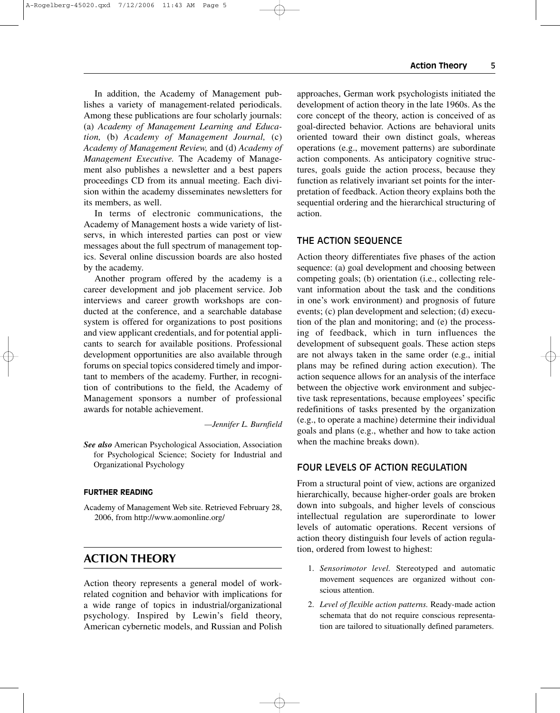In addition, the Academy of Management publishes a variety of management-related periodicals. Among these publications are four scholarly journals: (a) *Academy of Management Learning and Education,* (b) *Academy of Management Journal,* (c) *Academy of Management Review,* and (d) *Academy of Management Executive.* The Academy of Management also publishes a newsletter and a best papers proceedings CD from its annual meeting. Each division within the academy disseminates newsletters for its members, as well.

In terms of electronic communications, the Academy of Management hosts a wide variety of listservs, in which interested parties can post or view messages about the full spectrum of management topics. Several online discussion boards are also hosted by the academy.

Another program offered by the academy is a career development and job placement service. Job interviews and career growth workshops are conducted at the conference, and a searchable database system is offered for organizations to post positions and view applicant credentials, and for potential applicants to search for available positions. Professional development opportunities are also available through forums on special topics considered timely and important to members of the academy. Further, in recognition of contributions to the field, the Academy of Management sponsors a number of professional awards for notable achievement.

*—Jennifer L. Burnfield*

*See also* American Psychological Association, Association for Psychological Science; Society for Industrial and Organizational Psychology

#### **FURTHER READING**

Academy of Management Web site. Retrieved February 28, 2006, from http://www.aomonline.org/

# **ACTION THEORY**

Action theory represents a general model of workrelated cognition and behavior with implications for a wide range of topics in industrial/organizational psychology. Inspired by Lewin's field theory, American cybernetic models, and Russian and Polish approaches, German work psychologists initiated the development of action theory in the late 1960s. As the core concept of the theory, action is conceived of as goal-directed behavior. Actions are behavioral units oriented toward their own distinct goals, whereas operations (e.g., movement patterns) are subordinate action components. As anticipatory cognitive structures, goals guide the action process, because they function as relatively invariant set points for the interpretation of feedback. Action theory explains both the sequential ordering and the hierarchical structuring of action.

## THE ACTION SEQUENCE

Action theory differentiates five phases of the action sequence: (a) goal development and choosing between competing goals; (b) orientation (i.e., collecting relevant information about the task and the conditions in one's work environment) and prognosis of future events; (c) plan development and selection; (d) execution of the plan and monitoring; and (e) the processing of feedback, which in turn influences the development of subsequent goals. These action steps are not always taken in the same order (e.g., initial plans may be refined during action execution). The action sequence allows for an analysis of the interface between the objective work environment and subjective task representations, because employees' specific redefinitions of tasks presented by the organization (e.g., to operate a machine) determine their individual goals and plans (e.g., whether and how to take action when the machine breaks down).

### FOUR LEVELS OF ACTION REGULATION

From a structural point of view, actions are organized hierarchically, because higher-order goals are broken down into subgoals, and higher levels of conscious intellectual regulation are superordinate to lower levels of automatic operations. Recent versions of action theory distinguish four levels of action regulation, ordered from lowest to highest:

- 1. *Sensorimotor level.* Stereotyped and automatic movement sequences are organized without conscious attention.
- 2. *Level of flexible action patterns.* Ready-made action schemata that do not require conscious representation are tailored to situationally defined parameters.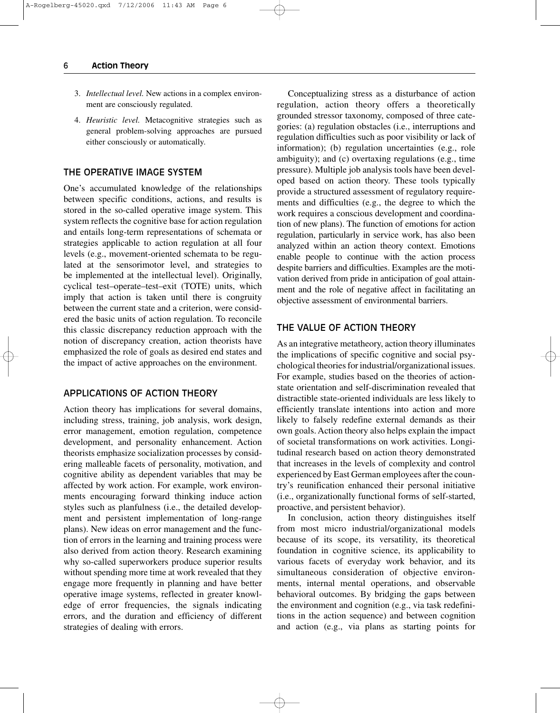#### 6———**Action Theory**

- 3. *Intellectual level.* New actions in a complex environment are consciously regulated.
- 4. *Heuristic level.* Metacognitive strategies such as general problem-solving approaches are pursued either consciously or automatically.

### THE OPERATIVE IMAGE SYSTEM

One's accumulated knowledge of the relationships between specific conditions, actions, and results is stored in the so-called operative image system. This system reflects the cognitive base for action regulation and entails long-term representations of schemata or strategies applicable to action regulation at all four levels (e.g., movement-oriented schemata to be regulated at the sensorimotor level, and strategies to be implemented at the intellectual level). Originally, cyclical test–operate–test–exit (TOTE) units, which imply that action is taken until there is congruity between the current state and a criterion, were considered the basic units of action regulation. To reconcile this classic discrepancy reduction approach with the notion of discrepancy creation, action theorists have emphasized the role of goals as desired end states and the impact of active approaches on the environment.

## APPLICATIONS OF ACTION THEORY

Action theory has implications for several domains, including stress, training, job analysis, work design, error management, emotion regulation, competence development, and personality enhancement. Action theorists emphasize socialization processes by considering malleable facets of personality, motivation, and cognitive ability as dependent variables that may be affected by work action. For example, work environments encouraging forward thinking induce action styles such as planfulness (i.e., the detailed development and persistent implementation of long-range plans). New ideas on error management and the function of errors in the learning and training process were also derived from action theory. Research examining why so-called superworkers produce superior results without spending more time at work revealed that they engage more frequently in planning and have better operative image systems, reflected in greater knowledge of error frequencies, the signals indicating errors, and the duration and efficiency of different strategies of dealing with errors.

Conceptualizing stress as a disturbance of action regulation, action theory offers a theoretically grounded stressor taxonomy, composed of three categories: (a) regulation obstacles (i.e., interruptions and regulation difficulties such as poor visibility or lack of information); (b) regulation uncertainties (e.g., role ambiguity); and (c) overtaxing regulations (e.g., time pressure). Multiple job analysis tools have been developed based on action theory. These tools typically provide a structured assessment of regulatory requirements and difficulties (e.g., the degree to which the work requires a conscious development and coordination of new plans). The function of emotions for action regulation, particularly in service work, has also been analyzed within an action theory context. Emotions enable people to continue with the action process despite barriers and difficulties. Examples are the motivation derived from pride in anticipation of goal attainment and the role of negative affect in facilitating an objective assessment of environmental barriers.

## THE VALUE OF ACTION THEORY

As an integrative metatheory, action theory illuminates the implications of specific cognitive and social psychological theories for industrial/organizational issues. For example, studies based on the theories of actionstate orientation and self-discrimination revealed that distractible state-oriented individuals are less likely to efficiently translate intentions into action and more likely to falsely redefine external demands as their own goals. Action theory also helps explain the impact of societal transformations on work activities. Longitudinal research based on action theory demonstrated that increases in the levels of complexity and control experienced by East German employees after the country's reunification enhanced their personal initiative (i.e., organizationally functional forms of self-started, proactive, and persistent behavior).

In conclusion, action theory distinguishes itself from most micro industrial/organizational models because of its scope, its versatility, its theoretical foundation in cognitive science, its applicability to various facets of everyday work behavior, and its simultaneous consideration of objective environments, internal mental operations, and observable behavioral outcomes. By bridging the gaps between the environment and cognition (e.g., via task redefinitions in the action sequence) and between cognition and action (e.g., via plans as starting points for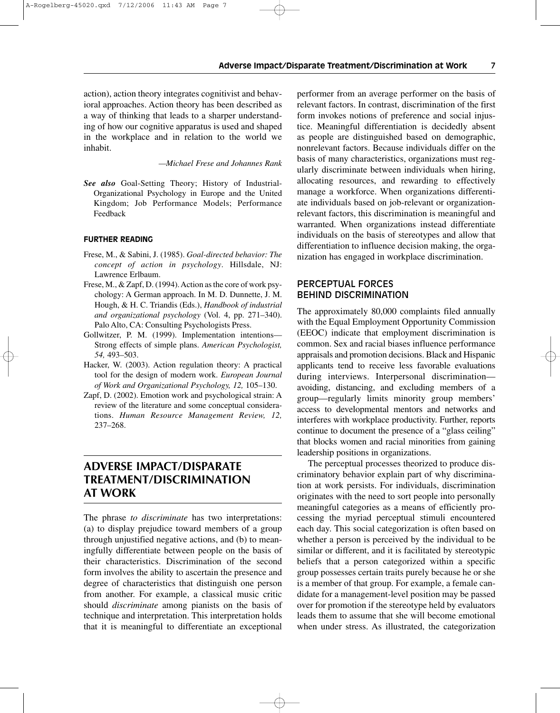action), action theory integrates cognitivist and behavioral approaches. Action theory has been described as a way of thinking that leads to a sharper understanding of how our cognitive apparatus is used and shaped in the workplace and in relation to the world we inhabit.

*—Michael Frese and Johannes Rank*

*See also* Goal-Setting Theory; History of Industrial-Organizational Psychology in Europe and the United Kingdom; Job Performance Models; Performance Feedback

#### **FURTHER READING**

- Frese, M., & Sabini, J. (1985). *Goal-directed behavior: The concept of action in psychology*. Hillsdale, NJ: Lawrence Erlbaum.
- Frese, M., & Zapf, D. (1994). Action as the core of work psychology: A German approach. In M. D. Dunnette, J. M. Hough, & H. C. Triandis (Eds.), *Handbook of industrial and organizational psychology* (Vol. 4, pp. 271–340). Palo Alto, CA: Consulting Psychologists Press.
- Gollwitzer, P. M. (1999). Implementation intentions— Strong effects of simple plans. *American Psychologist, 54,* 493–503.
- Hacker, W. (2003). Action regulation theory: A practical tool for the design of modern work. *European Journal of Work and Organizational Psychology, 12,* 105–130.
- Zapf, D. (2002). Emotion work and psychological strain: A review of the literature and some conceptual considerations. *Human Resource Management Review, 12,* 237–268.

# **ADVERSE IMPACT/DISPARATE TREATMENT/DISCRIMINATION AT WORK**

The phrase *to discriminate* has two interpretations: (a) to display prejudice toward members of a group through unjustified negative actions, and (b) to meaningfully differentiate between people on the basis of their characteristics. Discrimination of the second form involves the ability to ascertain the presence and degree of characteristics that distinguish one person from another. For example, a classical music critic should *discriminate* among pianists on the basis of technique and interpretation. This interpretation holds that it is meaningful to differentiate an exceptional

performer from an average performer on the basis of relevant factors. In contrast, discrimination of the first form invokes notions of preference and social injustice. Meaningful differentiation is decidedly absent as people are distinguished based on demographic, nonrelevant factors. Because individuals differ on the basis of many characteristics, organizations must regularly discriminate between individuals when hiring, allocating resources, and rewarding to effectively manage a workforce. When organizations differentiate individuals based on job-relevant or organizationrelevant factors, this discrimination is meaningful and warranted. When organizations instead differentiate individuals on the basis of stereotypes and allow that differentiation to influence decision making, the organization has engaged in workplace discrimination.

## PERCEPTUAL FORCES BEHIND DISCRIMINATION

The approximately 80,000 complaints filed annually with the Equal Employment Opportunity Commission (EEOC) indicate that employment discrimination is common. Sex and racial biases influence performance appraisals and promotion decisions. Black and Hispanic applicants tend to receive less favorable evaluations during interviews. Interpersonal discrimination avoiding, distancing, and excluding members of a group—regularly limits minority group members' access to developmental mentors and networks and interferes with workplace productivity. Further, reports continue to document the presence of a "glass ceiling" that blocks women and racial minorities from gaining leadership positions in organizations.

The perceptual processes theorized to produce discriminatory behavior explain part of why discrimination at work persists. For individuals, discrimination originates with the need to sort people into personally meaningful categories as a means of efficiently processing the myriad perceptual stimuli encountered each day. This social categorization is often based on whether a person is perceived by the individual to be similar or different, and it is facilitated by stereotypic beliefs that a person categorized within a specific group possesses certain traits purely because he or she is a member of that group. For example, a female candidate for a management-level position may be passed over for promotion if the stereotype held by evaluators leads them to assume that she will become emotional when under stress. As illustrated, the categorization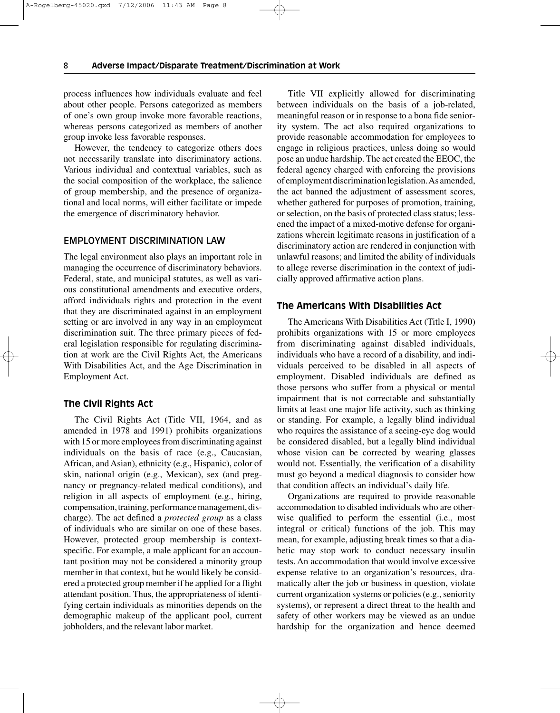#### 8———**Adverse Impact/Disparate Treatment/Discrimination at Work**

process influences how individuals evaluate and feel about other people. Persons categorized as members of one's own group invoke more favorable reactions, whereas persons categorized as members of another group invoke less favorable responses.

However, the tendency to categorize others does not necessarily translate into discriminatory actions. Various individual and contextual variables, such as the social composition of the workplace, the salience of group membership, and the presence of organizational and local norms, will either facilitate or impede the emergence of discriminatory behavior.

## EMPLOYMENT DISCRIMINATION LAW

The legal environment also plays an important role in managing the occurrence of discriminatory behaviors. Federal, state, and municipal statutes, as well as various constitutional amendments and executive orders, afford individuals rights and protection in the event that they are discriminated against in an employment setting or are involved in any way in an employment discrimination suit. The three primary pieces of federal legislation responsible for regulating discrimination at work are the Civil Rights Act, the Americans With Disabilities Act, and the Age Discrimination in Employment Act.

## **The Civil Rights Act**

The Civil Rights Act (Title VII, 1964, and as amended in 1978 and 1991) prohibits organizations with 15 or more employees from discriminating against individuals on the basis of race (e.g., Caucasian, African, and Asian), ethnicity (e.g., Hispanic), color of skin, national origin (e.g., Mexican), sex (and pregnancy or pregnancy-related medical conditions), and religion in all aspects of employment (e.g., hiring, compensation, training, performance management, discharge). The act defined a *protected group* as a class of individuals who are similar on one of these bases. However, protected group membership is contextspecific. For example, a male applicant for an accountant position may not be considered a minority group member in that context, but he would likely be considered a protected group member if he applied for a flight attendant position. Thus, the appropriateness of identifying certain individuals as minorities depends on the demographic makeup of the applicant pool, current jobholders, and the relevant labor market.

Title VII explicitly allowed for discriminating between individuals on the basis of a job-related, meaningful reason or in response to a bona fide seniority system. The act also required organizations to provide reasonable accommodation for employees to engage in religious practices, unless doing so would pose an undue hardship. The act created the EEOC, the federal agency charged with enforcing the provisions of employment discrimination legislation.As amended, the act banned the adjustment of assessment scores, whether gathered for purposes of promotion, training, or selection, on the basis of protected class status; lessened the impact of a mixed-motive defense for organizations wherein legitimate reasons in justification of a discriminatory action are rendered in conjunction with unlawful reasons; and limited the ability of individuals to allege reverse discrimination in the context of judicially approved affirmative action plans.

### **The Americans With Disabilities Act**

The Americans With Disabilities Act (Title I, 1990) prohibits organizations with 15 or more employees from discriminating against disabled individuals, individuals who have a record of a disability, and individuals perceived to be disabled in all aspects of employment. Disabled individuals are defined as those persons who suffer from a physical or mental impairment that is not correctable and substantially limits at least one major life activity, such as thinking or standing. For example, a legally blind individual who requires the assistance of a seeing-eye dog would be considered disabled, but a legally blind individual whose vision can be corrected by wearing glasses would not. Essentially, the verification of a disability must go beyond a medical diagnosis to consider how that condition affects an individual's daily life.

Organizations are required to provide reasonable accommodation to disabled individuals who are otherwise qualified to perform the essential (i.e., most integral or critical) functions of the job. This may mean, for example, adjusting break times so that a diabetic may stop work to conduct necessary insulin tests. An accommodation that would involve excessive expense relative to an organization's resources, dramatically alter the job or business in question, violate current organization systems or policies (e.g., seniority systems), or represent a direct threat to the health and safety of other workers may be viewed as an undue hardship for the organization and hence deemed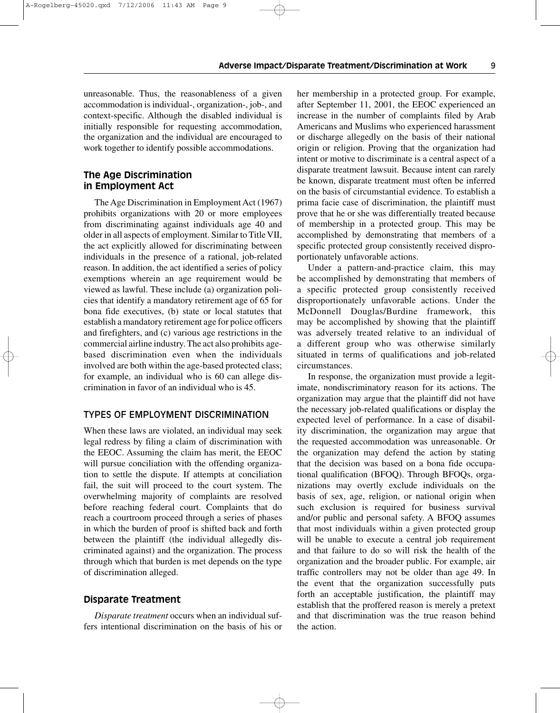unreasonable. Thus, the reasonableness of a given accommodation is individual-, organization-, job-, and context-specific. Although the disabled individual is initially responsible for requesting accommodation, the organization and the individual are encouraged to work together to identify possible accommodations.

## **The Age Discrimination in Employment Act**

The Age Discrimination in Employment Act (1967) prohibits organizations with 20 or more employees from discriminating against individuals age 40 and older in all aspects of employment. Similar to Title VII, the act explicitly allowed for discriminating between individuals in the presence of a rational, job-related reason. In addition, the act identified a series of policy exemptions wherein an age requirement would be viewed as lawful. These include (a) organization policies that identify a mandatory retirement age of 65 for bona fide executives, (b) state or local statutes that establish a mandatory retirement age for police officers and firefighters, and (c) various age restrictions in the commercial airline industry. The act also prohibits agebased discrimination even when the individuals involved are both within the age-based protected class; for example, an individual who is 60 can allege discrimination in favor of an individual who is 45.

## TYPES OF EMPLOYMENT DISCRIMINATION

When these laws are violated, an individual may seek legal redress by filing a claim of discrimination with the EEOC. Assuming the claim has merit, the EEOC will pursue conciliation with the offending organization to settle the dispute. If attempts at conciliation fail, the suit will proceed to the court system. The overwhelming majority of complaints are resolved before reaching federal court. Complaints that do reach a courtroom proceed through a series of phases in which the burden of proof is shifted back and forth between the plaintiff (the individual allegedly discriminated against) and the organization. The process through which that burden is met depends on the type of discrimination alleged.

## **Disparate Treatment**

*Disparate treatment* occurs when an individual suffers intentional discrimination on the basis of his or her membership in a protected group. For example, after September 11, 2001, the EEOC experienced an increase in the number of complaints filed by Arab Americans and Muslims who experienced harassment or discharge allegedly on the basis of their national origin or religion. Proving that the organization had intent or motive to discriminate is a central aspect of a disparate treatment lawsuit. Because intent can rarely be known, disparate treatment must often be inferred on the basis of circumstantial evidence. To establish a prima facie case of discrimination, the plaintiff must prove that he or she was differentially treated because of membership in a protected group. This may be accomplished by demonstrating that members of a specific protected group consistently received disproportionately unfavorable actions.

Under a pattern-and-practice claim, this may be accomplished by demonstrating that members of a specific protected group consistently received disproportionately unfavorable actions. Under the McDonnell Douglas/Burdine framework, this may be accomplished by showing that the plaintiff was adversely treated relative to an individual of a different group who was otherwise similarly situated in terms of qualifications and job-related circumstances.

In response, the organization must provide a legitimate, nondiscriminatory reason for its actions. The organization may argue that the plaintiff did not have the necessary job-related qualifications or display the expected level of performance. In a case of disability discrimination, the organization may argue that the requested accommodation was unreasonable. Or the organization may defend the action by stating that the decision was based on a bona fide occupational qualification (BFOQ). Through BFOQs, organizations may overtly exclude individuals on the basis of sex, age, religion, or national origin when such exclusion is required for business survival and/or public and personal safety. A BFOQ assumes that most individuals within a given protected group will be unable to execute a central job requirement and that failure to do so will risk the health of the organization and the broader public. For example, air traffic controllers may not be older than age 49. In the event that the organization successfully puts forth an acceptable justification, the plaintiff may establish that the proffered reason is merely a pretext and that discrimination was the true reason behind the action.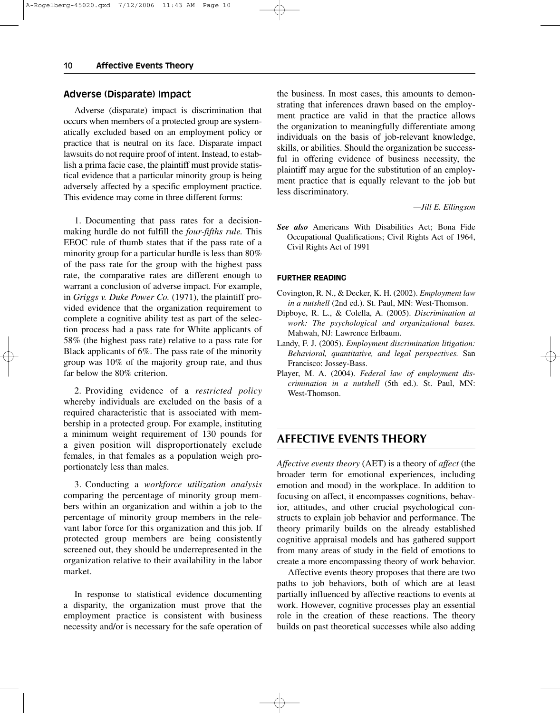### 10———**Affective Events Theory**

## **Adverse (Disparate) Impact**

Adverse (disparate) impact is discrimination that occurs when members of a protected group are systematically excluded based on an employment policy or practice that is neutral on its face. Disparate impact lawsuits do not require proof of intent. Instead, to establish a prima facie case, the plaintiff must provide statistical evidence that a particular minority group is being adversely affected by a specific employment practice. This evidence may come in three different forms:

1. Documenting that pass rates for a decisionmaking hurdle do not fulfill the *four-fifths rule.* This EEOC rule of thumb states that if the pass rate of a minority group for a particular hurdle is less than 80% of the pass rate for the group with the highest pass rate, the comparative rates are different enough to warrant a conclusion of adverse impact. For example, in *Griggs v. Duke Power Co.* (1971), the plaintiff provided evidence that the organization requirement to complete a cognitive ability test as part of the selection process had a pass rate for White applicants of 58% (the highest pass rate) relative to a pass rate for Black applicants of 6%. The pass rate of the minority group was 10% of the majority group rate, and thus far below the 80% criterion.

2. Providing evidence of a *restricted policy* whereby individuals are excluded on the basis of a required characteristic that is associated with membership in a protected group. For example, instituting a minimum weight requirement of 130 pounds for a given position will disproportionately exclude females, in that females as a population weigh proportionately less than males.

3. Conducting a *workforce utilization analysis* comparing the percentage of minority group members within an organization and within a job to the percentage of minority group members in the relevant labor force for this organization and this job. If protected group members are being consistently screened out, they should be underrepresented in the organization relative to their availability in the labor market.

In response to statistical evidence documenting a disparity, the organization must prove that the employment practice is consistent with business necessity and/or is necessary for the safe operation of the business. In most cases, this amounts to demonstrating that inferences drawn based on the employment practice are valid in that the practice allows the organization to meaningfully differentiate among individuals on the basis of job-relevant knowledge, skills, or abilities. Should the organization be successful in offering evidence of business necessity, the plaintiff may argue for the substitution of an employment practice that is equally relevant to the job but less discriminatory.

*—Jill E. Ellingson*

*See also* Americans With Disabilities Act; Bona Fide Occupational Qualifications; Civil Rights Act of 1964, Civil Rights Act of 1991

#### **FURTHER READING**

- Covington, R. N., & Decker, K. H. (2002). *Employment law in a nutshell* (2nd ed.). St. Paul, MN: West-Thomson.
- Dipboye, R. L., & Colella, A. (2005). *Discrimination at work: The psychological and organizational bases.* Mahwah, NJ: Lawrence Erlbaum.
- Landy, F. J. (2005). *Employment discrimination litigation: Behavioral, quantitative, and legal perspectives.* San Francisco: Jossey-Bass.
- Player, M. A. (2004). *Federal law of employment discrimination in a nutshell* (5th ed.). St. Paul, MN: West-Thomson.

## **AFFECTIVE EVENTS THEORY**

*Affective events theory* (AET) is a theory of *affect* (the broader term for emotional experiences, including emotion and mood) in the workplace. In addition to focusing on affect, it encompasses cognitions, behavior, attitudes, and other crucial psychological constructs to explain job behavior and performance. The theory primarily builds on the already established cognitive appraisal models and has gathered support from many areas of study in the field of emotions to create a more encompassing theory of work behavior.

Affective events theory proposes that there are two paths to job behaviors, both of which are at least partially influenced by affective reactions to events at work. However, cognitive processes play an essential role in the creation of these reactions. The theory builds on past theoretical successes while also adding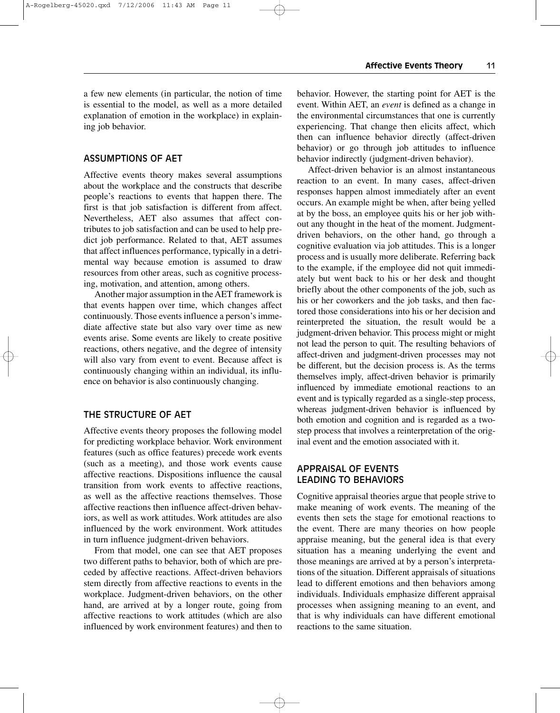a few new elements (in particular, the notion of time is essential to the model, as well as a more detailed explanation of emotion in the workplace) in explaining job behavior.

### ASSUMPTIONS OF AET

Affective events theory makes several assumptions about the workplace and the constructs that describe people's reactions to events that happen there. The first is that job satisfaction is different from affect. Nevertheless, AET also assumes that affect contributes to job satisfaction and can be used to help predict job performance. Related to that, AET assumes that affect influences performance, typically in a detrimental way because emotion is assumed to draw resources from other areas, such as cognitive processing, motivation, and attention, among others.

Another major assumption in the AET framework is that events happen over time, which changes affect continuously. Those events influence a person's immediate affective state but also vary over time as new events arise. Some events are likely to create positive reactions, others negative, and the degree of intensity will also vary from event to event. Because affect is continuously changing within an individual, its influence on behavior is also continuously changing.

### THE STRUCTURE OF AET

Affective events theory proposes the following model for predicting workplace behavior. Work environment features (such as office features) precede work events (such as a meeting), and those work events cause affective reactions. Dispositions influence the causal transition from work events to affective reactions, as well as the affective reactions themselves. Those affective reactions then influence affect-driven behaviors, as well as work attitudes. Work attitudes are also influenced by the work environment. Work attitudes in turn influence judgment-driven behaviors.

From that model, one can see that AET proposes two different paths to behavior, both of which are preceded by affective reactions. Affect-driven behaviors stem directly from affective reactions to events in the workplace. Judgment-driven behaviors, on the other hand, are arrived at by a longer route, going from affective reactions to work attitudes (which are also influenced by work environment features) and then to behavior. However, the starting point for AET is the event. Within AET, an *event* is defined as a change in the environmental circumstances that one is currently experiencing. That change then elicits affect, which then can influence behavior directly (affect-driven behavior) or go through job attitudes to influence behavior indirectly (judgment-driven behavior).

Affect-driven behavior is an almost instantaneous reaction to an event. In many cases, affect-driven responses happen almost immediately after an event occurs. An example might be when, after being yelled at by the boss, an employee quits his or her job without any thought in the heat of the moment. Judgmentdriven behaviors, on the other hand, go through a cognitive evaluation via job attitudes. This is a longer process and is usually more deliberate. Referring back to the example, if the employee did not quit immediately but went back to his or her desk and thought briefly about the other components of the job, such as his or her coworkers and the job tasks, and then factored those considerations into his or her decision and reinterpreted the situation, the result would be a judgment-driven behavior. This process might or might not lead the person to quit. The resulting behaviors of affect-driven and judgment-driven processes may not be different, but the decision process is. As the terms themselves imply, affect-driven behavior is primarily influenced by immediate emotional reactions to an event and is typically regarded as a single-step process, whereas judgment-driven behavior is influenced by both emotion and cognition and is regarded as a twostep process that involves a reinterpretation of the original event and the emotion associated with it.

## APPRAISAL OF EVENTS LEADING TO BEHAVIORS

Cognitive appraisal theories argue that people strive to make meaning of work events. The meaning of the events then sets the stage for emotional reactions to the event. There are many theories on how people appraise meaning, but the general idea is that every situation has a meaning underlying the event and those meanings are arrived at by a person's interpretations of the situation. Different appraisals of situations lead to different emotions and then behaviors among individuals. Individuals emphasize different appraisal processes when assigning meaning to an event, and that is why individuals can have different emotional reactions to the same situation.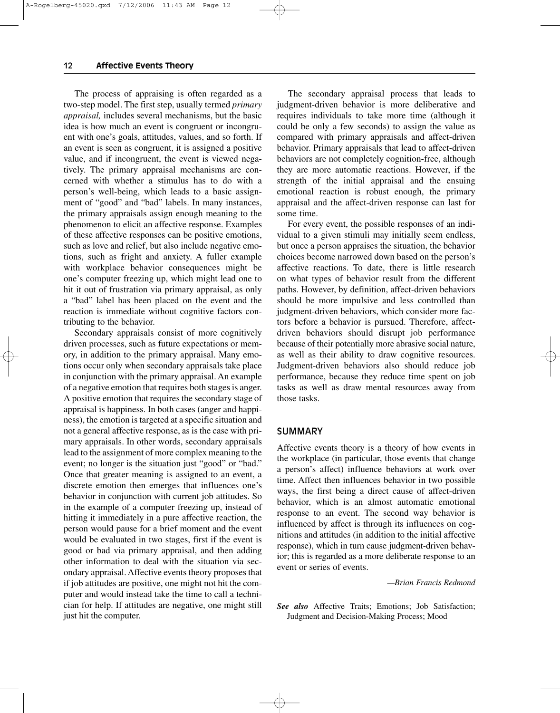#### 12———**Affective Events Theory**

The process of appraising is often regarded as a two-step model. The first step, usually termed *primary appraisal,* includes several mechanisms, but the basic idea is how much an event is congruent or incongruent with one's goals, attitudes, values, and so forth. If an event is seen as congruent, it is assigned a positive value, and if incongruent, the event is viewed negatively. The primary appraisal mechanisms are concerned with whether a stimulus has to do with a person's well-being, which leads to a basic assignment of "good" and "bad" labels. In many instances, the primary appraisals assign enough meaning to the phenomenon to elicit an affective response. Examples of these affective responses can be positive emotions, such as love and relief, but also include negative emotions, such as fright and anxiety. A fuller example with workplace behavior consequences might be one's computer freezing up, which might lead one to hit it out of frustration via primary appraisal, as only a "bad" label has been placed on the event and the reaction is immediate without cognitive factors contributing to the behavior.

Secondary appraisals consist of more cognitively driven processes, such as future expectations or memory, in addition to the primary appraisal. Many emotions occur only when secondary appraisals take place in conjunction with the primary appraisal. An example of a negative emotion that requires both stages is anger. A positive emotion that requires the secondary stage of appraisal is happiness. In both cases (anger and happiness), the emotion is targeted at a specific situation and not a general affective response, as is the case with primary appraisals. In other words, secondary appraisals lead to the assignment of more complex meaning to the event; no longer is the situation just "good" or "bad." Once that greater meaning is assigned to an event, a discrete emotion then emerges that influences one's behavior in conjunction with current job attitudes. So in the example of a computer freezing up, instead of hitting it immediately in a pure affective reaction, the person would pause for a brief moment and the event would be evaluated in two stages, first if the event is good or bad via primary appraisal, and then adding other information to deal with the situation via secondary appraisal. Affective events theory proposes that if job attitudes are positive, one might not hit the computer and would instead take the time to call a technician for help. If attitudes are negative, one might still just hit the computer.

The secondary appraisal process that leads to judgment-driven behavior is more deliberative and requires individuals to take more time (although it could be only a few seconds) to assign the value as compared with primary appraisals and affect-driven behavior. Primary appraisals that lead to affect-driven behaviors are not completely cognition-free, although they are more automatic reactions. However, if the strength of the initial appraisal and the ensuing emotional reaction is robust enough, the primary appraisal and the affect-driven response can last for some time.

For every event, the possible responses of an individual to a given stimuli may initially seem endless, but once a person appraises the situation, the behavior choices become narrowed down based on the person's affective reactions. To date, there is little research on what types of behavior result from the different paths. However, by definition, affect-driven behaviors should be more impulsive and less controlled than judgment-driven behaviors, which consider more factors before a behavior is pursued. Therefore, affectdriven behaviors should disrupt job performance because of their potentially more abrasive social nature, as well as their ability to draw cognitive resources. Judgment-driven behaviors also should reduce job performance, because they reduce time spent on job tasks as well as draw mental resources away from those tasks.

#### SUMMARY

Affective events theory is a theory of how events in the workplace (in particular, those events that change a person's affect) influence behaviors at work over time. Affect then influences behavior in two possible ways, the first being a direct cause of affect-driven behavior, which is an almost automatic emotional response to an event. The second way behavior is influenced by affect is through its influences on cognitions and attitudes (in addition to the initial affective response), which in turn cause judgment-driven behavior; this is regarded as a more deliberate response to an event or series of events.

*—Brian Francis Redmond*

*See also* Affective Traits; Emotions; Job Satisfaction; Judgment and Decision-Making Process; Mood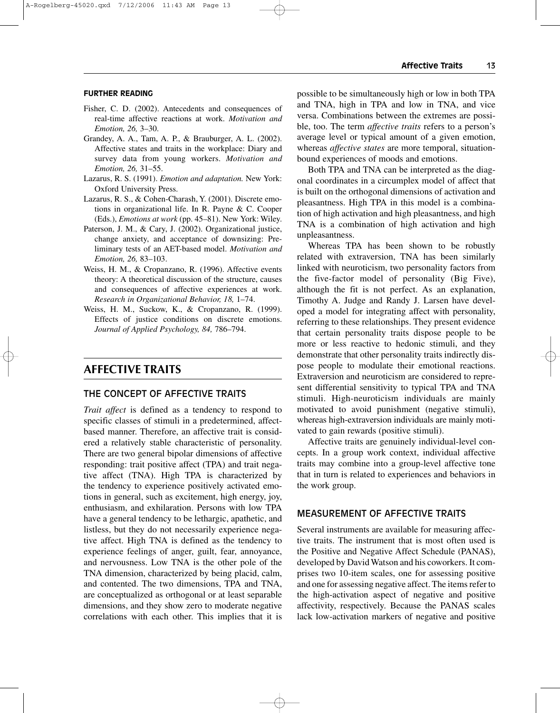## **FURTHER READING**

- Fisher, C. D. (2002). Antecedents and consequences of real-time affective reactions at work. *Motivation and Emotion, 26,* 3–30.
- Grandey, A. A., Tam, A. P., & Brauburger, A. L. (2002). Affective states and traits in the workplace: Diary and survey data from young workers. *Motivation and Emotion, 26,* 31–55.
- Lazarus, R. S. (1991). *Emotion and adaptation.* New York: Oxford University Press.
- Lazarus, R. S., & Cohen-Charash, Y. (2001). Discrete emotions in organizational life. In R. Payne & C. Cooper (Eds.), *Emotions at work* (pp. 45–81). New York: Wiley.
- Paterson, J. M., & Cary, J. (2002). Organizational justice, change anxiety, and acceptance of downsizing: Preliminary tests of an AET-based model. *Motivation and Emotion, 26,* 83–103.
- Weiss, H. M., & Cropanzano, R. (1996). Affective events theory: A theoretical discussion of the structure, causes and consequences of affective experiences at work. *Research in Organizational Behavior, 18,* 1–74.
- Weiss, H. M., Suckow, K., & Cropanzano, R. (1999). Effects of justice conditions on discrete emotions. *Journal of Applied Psychology, 84,* 786–794.

## **AFFECTIVE TRAITS**

### THE CONCEPT OF AFFECTIVE TRAITS

*Trait affect* is defined as a tendency to respond to specific classes of stimuli in a predetermined, affectbased manner. Therefore, an affective trait is considered a relatively stable characteristic of personality. There are two general bipolar dimensions of affective responding: trait positive affect (TPA) and trait negative affect (TNA). High TPA is characterized by the tendency to experience positively activated emotions in general, such as excitement, high energy, joy, enthusiasm, and exhilaration. Persons with low TPA have a general tendency to be lethargic, apathetic, and listless, but they do not necessarily experience negative affect. High TNA is defined as the tendency to experience feelings of anger, guilt, fear, annoyance, and nervousness. Low TNA is the other pole of the TNA dimension, characterized by being placid, calm, and contented. The two dimensions, TPA and TNA, are conceptualized as orthogonal or at least separable dimensions, and they show zero to moderate negative correlations with each other. This implies that it is possible to be simultaneously high or low in both TPA and TNA, high in TPA and low in TNA, and vice versa. Combinations between the extremes are possible, too. The term *affective traits* refers to a person's average level or typical amount of a given emotion, whereas *affective states* are more temporal, situationbound experiences of moods and emotions.

Both TPA and TNA can be interpreted as the diagonal coordinates in a circumplex model of affect that is built on the orthogonal dimensions of activation and pleasantness. High TPA in this model is a combination of high activation and high pleasantness, and high TNA is a combination of high activation and high unpleasantness.

Whereas TPA has been shown to be robustly related with extraversion, TNA has been similarly linked with neuroticism, two personality factors from the five-factor model of personality (Big Five), although the fit is not perfect. As an explanation, Timothy A. Judge and Randy J. Larsen have developed a model for integrating affect with personality, referring to these relationships. They present evidence that certain personality traits dispose people to be more or less reactive to hedonic stimuli, and they demonstrate that other personality traits indirectly dispose people to modulate their emotional reactions. Extraversion and neuroticism are considered to represent differential sensitivity to typical TPA and TNA stimuli. High-neuroticism individuals are mainly motivated to avoid punishment (negative stimuli), whereas high-extraversion individuals are mainly motivated to gain rewards (positive stimuli).

Affective traits are genuinely individual-level concepts. In a group work context, individual affective traits may combine into a group-level affective tone that in turn is related to experiences and behaviors in the work group.

### MEASUREMENT OF AFFECTIVE TRAITS

Several instruments are available for measuring affective traits. The instrument that is most often used is the Positive and Negative Affect Schedule (PANAS), developed by David Watson and his coworkers. It comprises two 10-item scales, one for assessing positive and one for assessing negative affect. The items refer to the high-activation aspect of negative and positive affectivity, respectively. Because the PANAS scales lack low-activation markers of negative and positive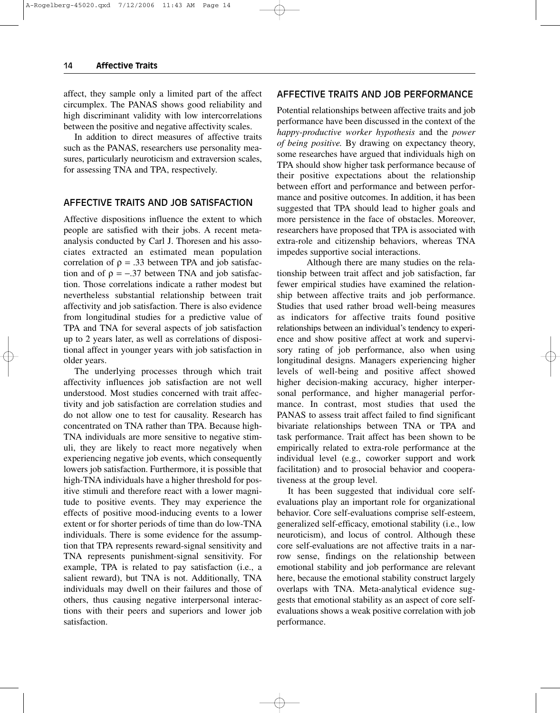#### 14———**Affective Traits**

affect, they sample only a limited part of the affect circumplex. The PANAS shows good reliability and high discriminant validity with low intercorrelations between the positive and negative affectivity scales.

In addition to direct measures of affective traits such as the PANAS, researchers use personality measures, particularly neuroticism and extraversion scales, for assessing TNA and TPA, respectively.

### AFFECTIVE TRAITS AND JOB SATISFACTION

Affective dispositions influence the extent to which people are satisfied with their jobs. A recent metaanalysis conducted by Carl J. Thoresen and his associates extracted an estimated mean population correlation of  $\rho = .33$  between TPA and job satisfaction and of  $\rho = -.37$  between TNA and job satisfaction. Those correlations indicate a rather modest but nevertheless substantial relationship between trait affectivity and job satisfaction. There is also evidence from longitudinal studies for a predictive value of TPA and TNA for several aspects of job satisfaction up to 2 years later, as well as correlations of dispositional affect in younger years with job satisfaction in older years.

The underlying processes through which trait affectivity influences job satisfaction are not well understood. Most studies concerned with trait affectivity and job satisfaction are correlation studies and do not allow one to test for causality. Research has concentrated on TNA rather than TPA. Because high-TNA individuals are more sensitive to negative stimuli, they are likely to react more negatively when experiencing negative job events, which consequently lowers job satisfaction. Furthermore, it is possible that high-TNA individuals have a higher threshold for positive stimuli and therefore react with a lower magnitude to positive events. They may experience the effects of positive mood-inducing events to a lower extent or for shorter periods of time than do low-TNA individuals. There is some evidence for the assumption that TPA represents reward-signal sensitivity and TNA represents punishment-signal sensitivity. For example, TPA is related to pay satisfaction (i.e., a salient reward), but TNA is not. Additionally, TNA individuals may dwell on their failures and those of others, thus causing negative interpersonal interactions with their peers and superiors and lower job satisfaction.

## AFFECTIVE TRAITS AND JOB PERFORMANCE

Potential relationships between affective traits and job performance have been discussed in the context of the *happy-productive worker hypothesis* and the *power of being positive.* By drawing on expectancy theory, some researches have argued that individuals high on TPA should show higher task performance because of their positive expectations about the relationship between effort and performance and between performance and positive outcomes. In addition, it has been suggested that TPA should lead to higher goals and more persistence in the face of obstacles. Moreover, researchers have proposed that TPA is associated with extra-role and citizenship behaviors, whereas TNA impedes supportive social interactions.

Although there are many studies on the relationship between trait affect and job satisfaction, far fewer empirical studies have examined the relationship between affective traits and job performance. Studies that used rather broad well-being measures as indicators for affective traits found positive relationships between an individual's tendency to experience and show positive affect at work and supervisory rating of job performance, also when using longitudinal designs. Managers experiencing higher levels of well-being and positive affect showed higher decision-making accuracy, higher interpersonal performance, and higher managerial performance. In contrast, most studies that used the PANAS to assess trait affect failed to find significant bivariate relationships between TNA or TPA and task performance. Trait affect has been shown to be empirically related to extra-role performance at the individual level (e.g., coworker support and work facilitation) and to prosocial behavior and cooperativeness at the group level.

It has been suggested that individual core selfevaluations play an important role for organizational behavior. Core self-evaluations comprise self-esteem, generalized self-efficacy, emotional stability (i.e., low neuroticism), and locus of control. Although these core self-evaluations are not affective traits in a narrow sense, findings on the relationship between emotional stability and job performance are relevant here, because the emotional stability construct largely overlaps with TNA. Meta-analytical evidence suggests that emotional stability as an aspect of core selfevaluations shows a weak positive correlation with job performance.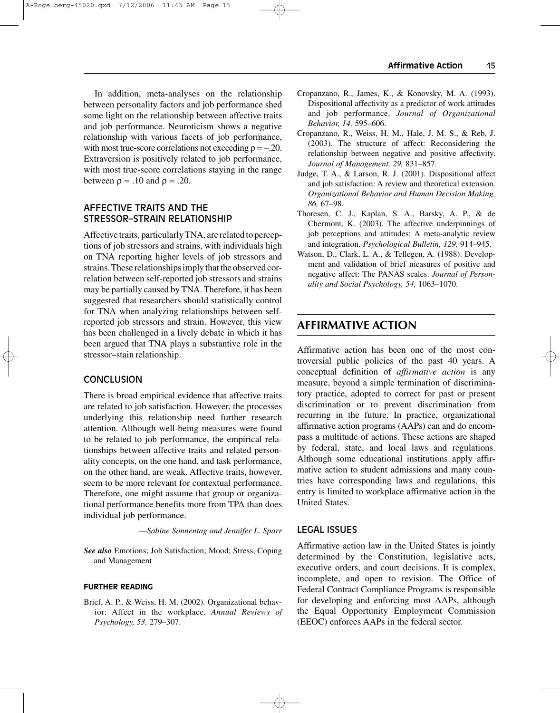In addition, meta-analyses on the relationship between personality factors and job performance shed some light on the relationship between affective traits and job performance. Neuroticism shows a negative relationship with various facets of job performance, with most true-score correlations not exceeding  $\rho = -0.20$ . Extraversion is positively related to job performance, with most true-score correlations staying in the range between  $\rho = .10$  and  $\rho = .20$ .

## AFFECTIVE TRAITS AND THE STRESSOR–STRAIN RELATIONSHIP

Affective traits, particularly TNA, are related to perceptions of job stressors and strains, with individuals high on TNA reporting higher levels of job stressors and strains.These relationships imply that the observed correlation between self-reported job stressors and strains may be partially caused by TNA. Therefore, it has been suggested that researchers should statistically control for TNA when analyzing relationships between selfreported job stressors and strain. However, this view has been challenged in a lively debate in which it has been argued that TNA plays a substantive role in the stressor–stain relationship.

### **CONCLUSION**

There is broad empirical evidence that affective traits are related to job satisfaction. However, the processes underlying this relationship need further research attention. Although well-being measures were found to be related to job performance, the empirical relationships between affective traits and related personality concepts, on the one hand, and task performance, on the other hand, are weak. Affective traits, however, seem to be more relevant for contextual performance. Therefore, one might assume that group or organizational performance benefits more from TPA than does individual job performance.

*—Sabine Sonnentag and Jennifer L. Sparr*

*See also* Emotions; Job Satisfaction; Mood; Stress, Coping and Management

#### **FURTHER READING**

Brief, A. P., & Weiss, H. M. (2002). Organizational behavior: Affect in the workplace. *Annual Reviews of Psychology, 53,* 279–307.

- Cropanzano, R., James, K., & Konovsky, M. A. (1993). Dispositional affectivity as a predictor of work attitudes and job performance. *Journal of Organizational Behavior, 14,* 595–606.
- Cropanzano, R., Weiss, H. M., Hale, J. M. S., & Reb, J. (2003). The structure of affect: Reconsidering the relationship between negative and positive affectivity. *Journal of Management, 29,* 831–857.
- Judge, T. A., & Larson, R. J. (2001). Dispositional affect and job satisfaction: A review and theoretical extension. *Organizational Behavior and Human Decision Making, 86,* 67–98.
- Thoresen, C. J., Kaplan, S. A., Barsky, A. P., & de Chermont, K. (2003). The affective underpinnings of job perceptions and attitudes: A meta-analytic review and integration. *Psychological Bulletin, 129,* 914–945.
- Watson, D., Clark, L. A., & Tellegen, A. (1988). Development and validation of brief measures of positive and negative affect: The PANAS scales. *Journal of Personality and Social Psychology, 54,* 1063–1070.

## **AFFIRMATIVE ACTION**

Affirmative action has been one of the most controversial public policies of the past 40 years. A conceptual definition of *affirmative action* is any measure, beyond a simple termination of discriminatory practice, adopted to correct for past or present discrimination or to prevent discrimination from recurring in the future. In practice, organizational affirmative action programs (AAPs) can and do encompass a multitude of actions. These actions are shaped by federal, state, and local laws and regulations. Although some educational institutions apply affirmative action to student admissions and many countries have corresponding laws and regulations, this entry is limited to workplace affirmative action in the United States.

### LEGAL ISSUES

Affirmative action law in the United States is jointly determined by the Constitution, legislative acts, executive orders, and court decisions. It is complex, incomplete, and open to revision. The Office of Federal Contract Compliance Programs is responsible for developing and enforcing most AAPs, although the Equal Opportunity Employment Commission (EEOC) enforces AAPs in the federal sector.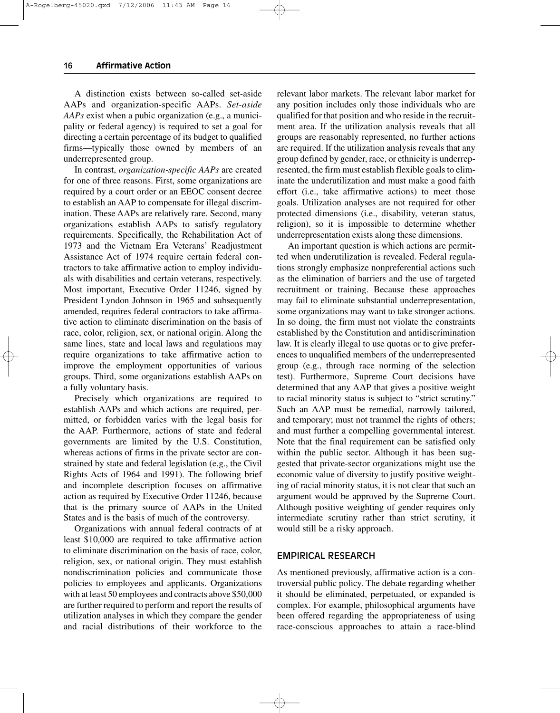#### 16———**Affirmative Action**

A distinction exists between so-called set-aside AAPs and organization-specific AAPs. *Set-aside AAPs* exist when a pubic organization (e.g., a municipality or federal agency) is required to set a goal for directing a certain percentage of its budget to qualified firms—typically those owned by members of an underrepresented group.

In contrast, *organization-specific AAPs* are created for one of three reasons. First, some organizations are required by a court order or an EEOC consent decree to establish an AAP to compensate for illegal discrimination. These AAPs are relatively rare. Second, many organizations establish AAPs to satisfy regulatory requirements. Specifically, the Rehabilitation Act of 1973 and the Vietnam Era Veterans' Readjustment Assistance Act of 1974 require certain federal contractors to take affirmative action to employ individuals with disabilities and certain veterans, respectively. Most important, Executive Order 11246, signed by President Lyndon Johnson in 1965 and subsequently amended, requires federal contractors to take affirmative action to eliminate discrimination on the basis of race, color, religion, sex, or national origin. Along the same lines, state and local laws and regulations may require organizations to take affirmative action to improve the employment opportunities of various groups. Third, some organizations establish AAPs on a fully voluntary basis.

Precisely which organizations are required to establish AAPs and which actions are required, permitted, or forbidden varies with the legal basis for the AAP. Furthermore, actions of state and federal governments are limited by the U.S. Constitution, whereas actions of firms in the private sector are constrained by state and federal legislation (e.g., the Civil Rights Acts of 1964 and 1991). The following brief and incomplete description focuses on affirmative action as required by Executive Order 11246, because that is the primary source of AAPs in the United States and is the basis of much of the controversy.

Organizations with annual federal contracts of at least \$10,000 are required to take affirmative action to eliminate discrimination on the basis of race, color, religion, sex, or national origin. They must establish nondiscrimination policies and communicate those policies to employees and applicants. Organizations with at least 50 employees and contracts above \$50,000 are further required to perform and report the results of utilization analyses in which they compare the gender and racial distributions of their workforce to the relevant labor markets. The relevant labor market for any position includes only those individuals who are qualified for that position and who reside in the recruitment area. If the utilization analysis reveals that all groups are reasonably represented, no further actions are required. If the utilization analysis reveals that any group defined by gender, race, or ethnicity is underrepresented, the firm must establish flexible goals to eliminate the underutilization and must make a good faith effort (i.e., take affirmative actions) to meet those goals. Utilization analyses are not required for other protected dimensions (i.e., disability, veteran status, religion), so it is impossible to determine whether underrepresentation exists along these dimensions.

An important question is which actions are permitted when underutilization is revealed. Federal regulations strongly emphasize nonpreferential actions such as the elimination of barriers and the use of targeted recruitment or training. Because these approaches may fail to eliminate substantial underrepresentation, some organizations may want to take stronger actions. In so doing, the firm must not violate the constraints established by the Constitution and antidiscrimination law. It is clearly illegal to use quotas or to give preferences to unqualified members of the underrepresented group (e.g., through race norming of the selection test). Furthermore, Supreme Court decisions have determined that any AAP that gives a positive weight to racial minority status is subject to "strict scrutiny." Such an AAP must be remedial, narrowly tailored, and temporary; must not trammel the rights of others; and must further a compelling governmental interest. Note that the final requirement can be satisfied only within the public sector. Although it has been suggested that private-sector organizations might use the economic value of diversity to justify positive weighting of racial minority status, it is not clear that such an argument would be approved by the Supreme Court. Although positive weighting of gender requires only intermediate scrutiny rather than strict scrutiny, it would still be a risky approach.

#### EMPIRICAL RESEARCH

As mentioned previously, affirmative action is a controversial public policy. The debate regarding whether it should be eliminated, perpetuated, or expanded is complex. For example, philosophical arguments have been offered regarding the appropriateness of using race-conscious approaches to attain a race-blind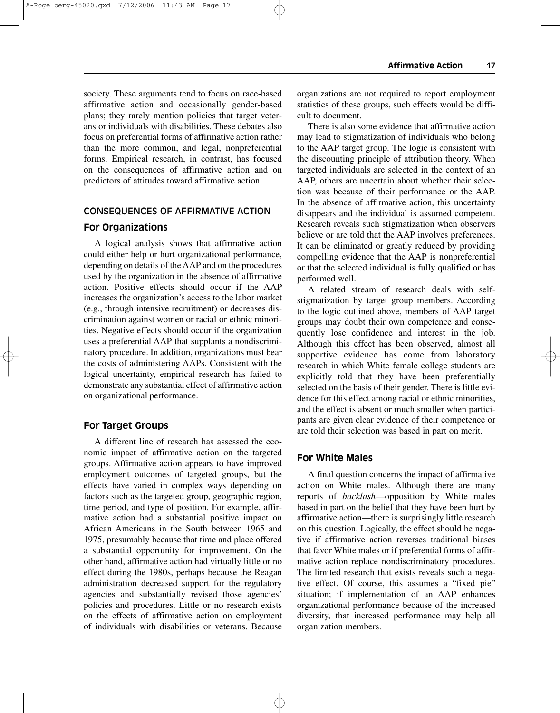society. These arguments tend to focus on race-based affirmative action and occasionally gender-based plans; they rarely mention policies that target veterans or individuals with disabilities. These debates also focus on preferential forms of affirmative action rather than the more common, and legal, nonpreferential forms. Empirical research, in contrast, has focused on the consequences of affirmative action and on predictors of attitudes toward affirmative action.

# CONSEQUENCES OF AFFIRMATIVE ACTION

## **For Organizations**

A logical analysis shows that affirmative action could either help or hurt organizational performance, depending on details of the AAP and on the procedures used by the organization in the absence of affirmative action. Positive effects should occur if the AAP increases the organization's access to the labor market (e.g., through intensive recruitment) or decreases discrimination against women or racial or ethnic minorities. Negative effects should occur if the organization uses a preferential AAP that supplants a nondiscriminatory procedure. In addition, organizations must bear the costs of administering AAPs. Consistent with the logical uncertainty, empirical research has failed to demonstrate any substantial effect of affirmative action on organizational performance.

### **For Target Groups**

A different line of research has assessed the economic impact of affirmative action on the targeted groups. Affirmative action appears to have improved employment outcomes of targeted groups, but the effects have varied in complex ways depending on factors such as the targeted group, geographic region, time period, and type of position. For example, affirmative action had a substantial positive impact on African Americans in the South between 1965 and 1975, presumably because that time and place offered a substantial opportunity for improvement. On the other hand, affirmative action had virtually little or no effect during the 1980s, perhaps because the Reagan administration decreased support for the regulatory agencies and substantially revised those agencies' policies and procedures. Little or no research exists on the effects of affirmative action on employment of individuals with disabilities or veterans. Because organizations are not required to report employment statistics of these groups, such effects would be difficult to document.

There is also some evidence that affirmative action may lead to stigmatization of individuals who belong to the AAP target group. The logic is consistent with the discounting principle of attribution theory. When targeted individuals are selected in the context of an AAP, others are uncertain about whether their selection was because of their performance or the AAP. In the absence of affirmative action, this uncertainty disappears and the individual is assumed competent. Research reveals such stigmatization when observers believe or are told that the AAP involves preferences. It can be eliminated or greatly reduced by providing compelling evidence that the AAP is nonpreferential or that the selected individual is fully qualified or has performed well.

A related stream of research deals with selfstigmatization by target group members. According to the logic outlined above, members of AAP target groups may doubt their own competence and consequently lose confidence and interest in the job. Although this effect has been observed, almost all supportive evidence has come from laboratory research in which White female college students are explicitly told that they have been preferentially selected on the basis of their gender. There is little evidence for this effect among racial or ethnic minorities, and the effect is absent or much smaller when participants are given clear evidence of their competence or are told their selection was based in part on merit.

### **For White Males**

A final question concerns the impact of affirmative action on White males. Although there are many reports of *backlash*—opposition by White males based in part on the belief that they have been hurt by affirmative action—there is surprisingly little research on this question. Logically, the effect should be negative if affirmative action reverses traditional biases that favor White males or if preferential forms of affirmative action replace nondiscriminatory procedures. The limited research that exists reveals such a negative effect. Of course, this assumes a "fixed pie" situation; if implementation of an AAP enhances organizational performance because of the increased diversity, that increased performance may help all organization members.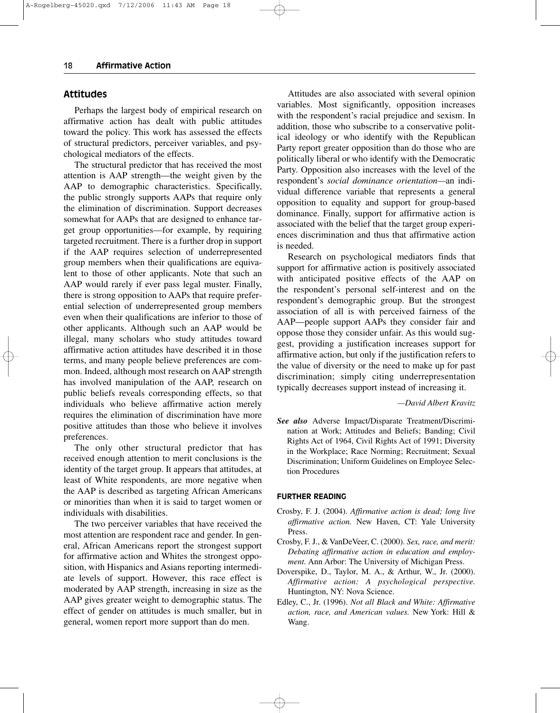#### 18———**Affirmative Action**

## **Attitudes**

Perhaps the largest body of empirical research on affirmative action has dealt with public attitudes toward the policy. This work has assessed the effects of structural predictors, perceiver variables, and psychological mediators of the effects.

The structural predictor that has received the most attention is AAP strength—the weight given by the AAP to demographic characteristics. Specifically, the public strongly supports AAPs that require only the elimination of discrimination. Support decreases somewhat for AAPs that are designed to enhance target group opportunities—for example, by requiring targeted recruitment. There is a further drop in support if the AAP requires selection of underrepresented group members when their qualifications are equivalent to those of other applicants. Note that such an AAP would rarely if ever pass legal muster. Finally, there is strong opposition to AAPs that require preferential selection of underrepresented group members even when their qualifications are inferior to those of other applicants. Although such an AAP would be illegal, many scholars who study attitudes toward affirmative action attitudes have described it in those terms, and many people believe preferences are common. Indeed, although most research on AAP strength has involved manipulation of the AAP, research on public beliefs reveals corresponding effects, so that individuals who believe affirmative action merely requires the elimination of discrimination have more positive attitudes than those who believe it involves preferences.

The only other structural predictor that has received enough attention to merit conclusions is the identity of the target group. It appears that attitudes, at least of White respondents, are more negative when the AAP is described as targeting African Americans or minorities than when it is said to target women or individuals with disabilities.

The two perceiver variables that have received the most attention are respondent race and gender. In general, African Americans report the strongest support for affirmative action and Whites the strongest opposition, with Hispanics and Asians reporting intermediate levels of support. However, this race effect is moderated by AAP strength, increasing in size as the AAP gives greater weight to demographic status. The effect of gender on attitudes is much smaller, but in general, women report more support than do men.

Attitudes are also associated with several opinion variables. Most significantly, opposition increases with the respondent's racial prejudice and sexism. In addition, those who subscribe to a conservative political ideology or who identify with the Republican Party report greater opposition than do those who are politically liberal or who identify with the Democratic Party. Opposition also increases with the level of the respondent's *social dominance orientation—*an individual difference variable that represents a general opposition to equality and support for group-based dominance. Finally, support for affirmative action is associated with the belief that the target group experiences discrimination and thus that affirmative action is needed.

Research on psychological mediators finds that support for affirmative action is positively associated with anticipated positive effects of the AAP on the respondent's personal self-interest and on the respondent's demographic group. But the strongest association of all is with perceived fairness of the AAP—people support AAPs they consider fair and oppose those they consider unfair. As this would suggest, providing a justification increases support for affirmative action, but only if the justification refers to the value of diversity or the need to make up for past discrimination; simply citing underrepresentation typically decreases support instead of increasing it.

*—David Albert Kravitz*

*See also* Adverse Impact/Disparate Treatment/Discrimination at Work; Attitudes and Beliefs; Banding; Civil Rights Act of 1964, Civil Rights Act of 1991; Diversity in the Workplace; Race Norming; Recruitment; Sexual Discrimination; Uniform Guidelines on Employee Selection Procedures

#### **FURTHER READING**

- Crosby, F. J. (2004). *Affirmative action is dead; long live affirmative action.* New Haven, CT: Yale University Press.
- Crosby, F. J., & VanDeVeer, C. (2000). *Sex, race, and merit: Debating affirmative action in education and employment.* Ann Arbor: The University of Michigan Press.
- Doverspike, D., Taylor, M. A., & Arthur, W., Jr. (2000). *Affirmative action: A psychological perspective.* Huntington, NY: Nova Science.
- Edley, C., Jr. (1996). *Not all Black and White: Affirmative action, race, and American values.* New York: Hill & Wang.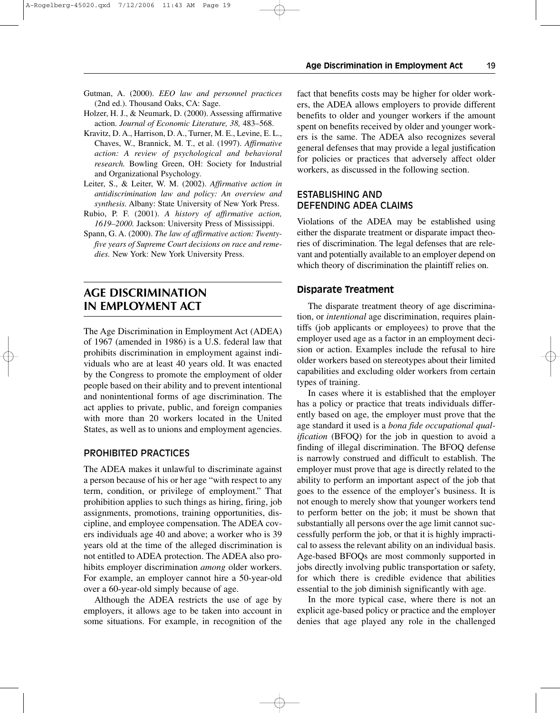- Gutman, A. (2000). *EEO law and personnel practices* (2nd ed.). Thousand Oaks, CA: Sage.
- Holzer, H. J., & Neumark, D. (2000). Assessing affirmative action. *Journal of Economic Literature, 38,* 483–568.
- Kravitz, D. A., Harrison, D. A., Turner, M. E., Levine, E. L., Chaves, W., Brannick, M. T., et al. (1997). *Affirmative action: A review of psychological and behavioral research.* Bowling Green, OH: Society for Industrial and Organizational Psychology.
- Leiter, S., & Leiter, W. M. (2002). *Affirmative action in antidiscrimination law and policy: An overview and synthesis.* Albany: State University of New York Press.
- Rubio, P. F. (2001). *A history of affirmative action, 1619–2000.* Jackson: University Press of Mississippi.
- Spann, G. A. (2000). *The law of affirmative action: Twentyfive years of Supreme Court decisions on race and remedies.* New York: New York University Press.

# **AGE DISCRIMINATION IN EMPLOYMENT ACT**

The Age Discrimination in Employment Act (ADEA) of 1967 (amended in 1986) is a U.S. federal law that prohibits discrimination in employment against individuals who are at least 40 years old. It was enacted by the Congress to promote the employment of older people based on their ability and to prevent intentional and nonintentional forms of age discrimination. The act applies to private, public, and foreign companies with more than 20 workers located in the United States, as well as to unions and employment agencies.

### PROHIBITED PRACTICES

The ADEA makes it unlawful to discriminate against a person because of his or her age "with respect to any term, condition, or privilege of employment." That prohibition applies to such things as hiring, firing, job assignments, promotions, training opportunities, discipline, and employee compensation. The ADEA covers individuals age 40 and above; a worker who is 39 years old at the time of the alleged discrimination is not entitled to ADEA protection. The ADEA also prohibits employer discrimination *among* older workers. For example, an employer cannot hire a 50-year-old over a 60-year-old simply because of age.

Although the ADEA restricts the use of age by employers, it allows age to be taken into account in some situations. For example, in recognition of the fact that benefits costs may be higher for older workers, the ADEA allows employers to provide different benefits to older and younger workers if the amount spent on benefits received by older and younger workers is the same. The ADEA also recognizes several general defenses that may provide a legal justification for policies or practices that adversely affect older workers, as discussed in the following section.

## ESTABLISHING AND DEFENDING ADEA CLAIMS

Violations of the ADEA may be established using either the disparate treatment or disparate impact theories of discrimination. The legal defenses that are relevant and potentially available to an employer depend on which theory of discrimination the plaintiff relies on.

### **Disparate Treatment**

The disparate treatment theory of age discrimination, or *intentional* age discrimination, requires plaintiffs (job applicants or employees) to prove that the employer used age as a factor in an employment decision or action. Examples include the refusal to hire older workers based on stereotypes about their limited capabilities and excluding older workers from certain types of training.

In cases where it is established that the employer has a policy or practice that treats individuals differently based on age, the employer must prove that the age standard it used is a *bona fide occupational qualification* (BFOQ) for the job in question to avoid a finding of illegal discrimination. The BFOQ defense is narrowly construed and difficult to establish. The employer must prove that age is directly related to the ability to perform an important aspect of the job that goes to the essence of the employer's business. It is not enough to merely show that younger workers tend to perform better on the job; it must be shown that substantially all persons over the age limit cannot successfully perform the job, or that it is highly impractical to assess the relevant ability on an individual basis. Age-based BFOQs are most commonly supported in jobs directly involving public transportation or safety, for which there is credible evidence that abilities essential to the job diminish significantly with age.

In the more typical case, where there is not an explicit age-based policy or practice and the employer denies that age played any role in the challenged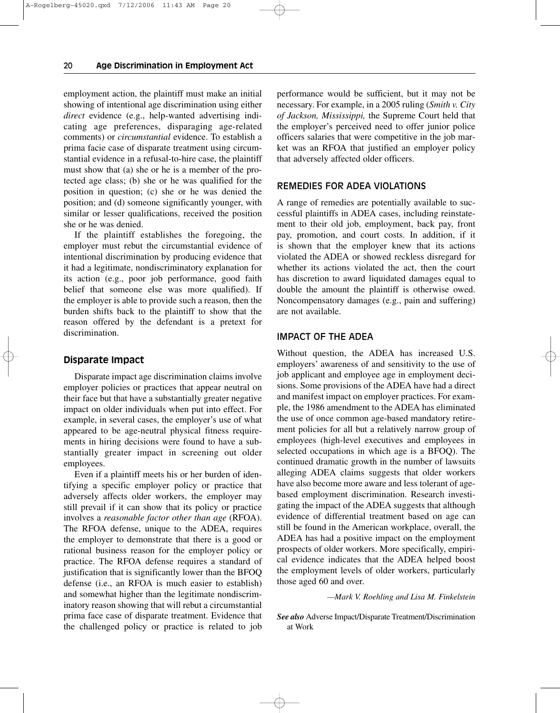#### 20———**Age Discrimination in Employment Act**

employment action, the plaintiff must make an initial showing of intentional age discrimination using either *direct* evidence (e.g., help-wanted advertising indicating age preferences, disparaging age-related comments) or *circumstantial* evidence. To establish a prima facie case of disparate treatment using circumstantial evidence in a refusal-to-hire case, the plaintiff must show that (a) she or he is a member of the protected age class; (b) she or he was qualified for the position in question; (c) she or he was denied the position; and (d) someone significantly younger, with similar or lesser qualifications, received the position she or he was denied.

If the plaintiff establishes the foregoing, the employer must rebut the circumstantial evidence of intentional discrimination by producing evidence that it had a legitimate, nondiscriminatory explanation for its action (e.g., poor job performance, good faith belief that someone else was more qualified). If the employer is able to provide such a reason, then the burden shifts back to the plaintiff to show that the reason offered by the defendant is a pretext for discrimination.

## **Disparate Impact**

Disparate impact age discrimination claims involve employer policies or practices that appear neutral on their face but that have a substantially greater negative impact on older individuals when put into effect. For example, in several cases, the employer's use of what appeared to be age-neutral physical fitness requirements in hiring decisions were found to have a substantially greater impact in screening out older employees.

Even if a plaintiff meets his or her burden of identifying a specific employer policy or practice that adversely affects older workers, the employer may still prevail if it can show that its policy or practice involves a *reasonable factor other than age* (RFOA). The RFOA defense, unique to the ADEA, requires the employer to demonstrate that there is a good or rational business reason for the employer policy or practice. The RFOA defense requires a standard of justification that is significantly lower than the BFOQ defense (i.e., an RFOA is much easier to establish) and somewhat higher than the legitimate nondiscriminatory reason showing that will rebut a circumstantial prima face case of disparate treatment. Evidence that the challenged policy or practice is related to job performance would be sufficient, but it may not be necessary. For example, in a 2005 ruling (*Smith v. City of Jackson, Mississippi,* the Supreme Court held that the employer's perceived need to offer junior police officers salaries that were competitive in the job market was an RFOA that justified an employer policy that adversely affected older officers.

### REMEDIES FOR ADEA VIOLATIONS

A range of remedies are potentially available to successful plaintiffs in ADEA cases, including reinstatement to their old job, employment, back pay, front pay, promotion, and court costs. In addition, if it is shown that the employer knew that its actions violated the ADEA or showed reckless disregard for whether its actions violated the act, then the court has discretion to award liquidated damages equal to double the amount the plaintiff is otherwise owed. Noncompensatory damages (e.g., pain and suffering) are not available.

### IMPACT OF THE ADEA

Without question, the ADEA has increased U.S. employers' awareness of and sensitivity to the use of job applicant and employee age in employment decisions. Some provisions of the ADEA have had a direct and manifest impact on employer practices. For example, the 1986 amendment to the ADEA has eliminated the use of once common age-based mandatory retirement policies for all but a relatively narrow group of employees (high-level executives and employees in selected occupations in which age is a BFOQ). The continued dramatic growth in the number of lawsuits alleging ADEA claims suggests that older workers have also become more aware and less tolerant of agebased employment discrimination. Research investigating the impact of the ADEA suggests that although evidence of differential treatment based on age can still be found in the American workplace, overall, the ADEA has had a positive impact on the employment prospects of older workers. More specifically, empirical evidence indicates that the ADEA helped boost the employment levels of older workers, particularly those aged 60 and over.

### *—Mark V. Roehling and Lisa M. Finkelstein*

*See also* Adverse Impact/Disparate Treatment/Discrimination at Work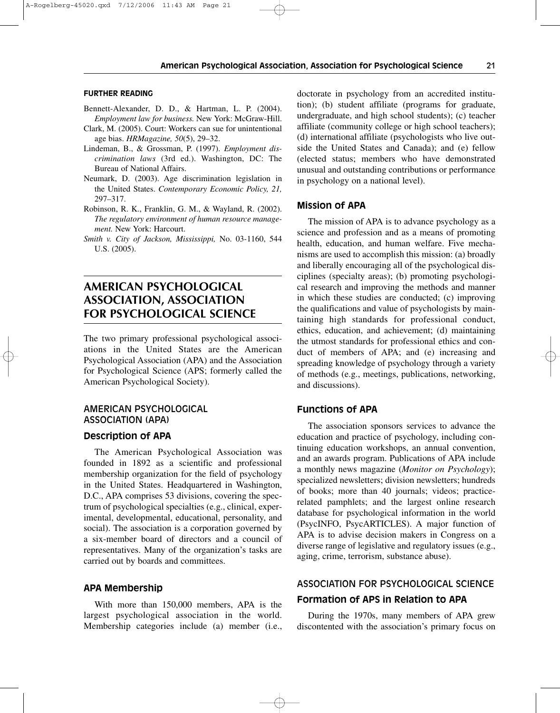### **FURTHER READING**

- Bennett-Alexander, D. D., & Hartman, L. P. (2004). *Employment law for business.* New York: McGraw-Hill.
- Clark, M. (2005). Court: Workers can sue for unintentional age bias. *HRMagazine, 50*(5), 29–32.
- Lindeman, B., & Grossman, P. (1997). *Employment discrimination laws* (3rd ed.). Washington, DC: The Bureau of National Affairs.
- Neumark, D. (2003). Age discrimination legislation in the United States. *Contemporary Economic Policy, 21,* 297–317.
- Robinson, R. K., Franklin, G. M., & Wayland, R. (2002). *The regulatory environment of human resource management.* New York: Harcourt.
- *Smith v. City of Jackson, Mississippi,* No. 03-1160, 544 U.S. (2005).

# **AMERICAN PSYCHOLOGICAL ASSOCIATION, ASSOCIATION FOR PSYCHOLOGICAL SCIENCE**

The two primary professional psychological associations in the United States are the American Psychological Association (APA) and the Association for Psychological Science (APS; formerly called the American Psychological Society).

## AMERICAN PSYCHOLOGICAL ASSOCIATION (APA)

### **Description of APA**

The American Psychological Association was founded in 1892 as a scientific and professional membership organization for the field of psychology in the United States. Headquartered in Washington, D.C., APA comprises 53 divisions, covering the spectrum of psychological specialties (e.g., clinical, experimental, developmental, educational, personality, and social). The association is a corporation governed by a six-member board of directors and a council of representatives. Many of the organization's tasks are carried out by boards and committees.

#### **APA Membership**

With more than 150,000 members, APA is the largest psychological association in the world. Membership categories include (a) member (i.e., doctorate in psychology from an accredited institution); (b) student affiliate (programs for graduate, undergraduate, and high school students); (c) teacher affiliate (community college or high school teachers); (d) international affiliate (psychologists who live outside the United States and Canada); and (e) fellow (elected status; members who have demonstrated unusual and outstanding contributions or performance in psychology on a national level).

## **Mission of APA**

The mission of APA is to advance psychology as a science and profession and as a means of promoting health, education, and human welfare. Five mechanisms are used to accomplish this mission: (a) broadly and liberally encouraging all of the psychological disciplines (specialty areas); (b) promoting psychological research and improving the methods and manner in which these studies are conducted; (c) improving the qualifications and value of psychologists by maintaining high standards for professional conduct, ethics, education, and achievement; (d) maintaining the utmost standards for professional ethics and conduct of members of APA; and (e) increasing and spreading knowledge of psychology through a variety of methods (e.g., meetings, publications, networking, and discussions).

## **Functions of APA**

The association sponsors services to advance the education and practice of psychology, including continuing education workshops, an annual convention, and an awards program. Publications of APA include a monthly news magazine (*Monitor on Psychology*); specialized newsletters; division newsletters; hundreds of books; more than 40 journals; videos; practicerelated pamphlets; and the largest online research database for psychological information in the world (PsycINFO, PsycARTICLES). A major function of APA is to advise decision makers in Congress on a diverse range of legislative and regulatory issues (e.g., aging, crime, terrorism, substance abuse).

## ASSOCIATION FOR PSYCHOLOGICAL SCIENCE

### **Formation of APS in Relation to APA**

During the 1970s, many members of APA grew discontented with the association's primary focus on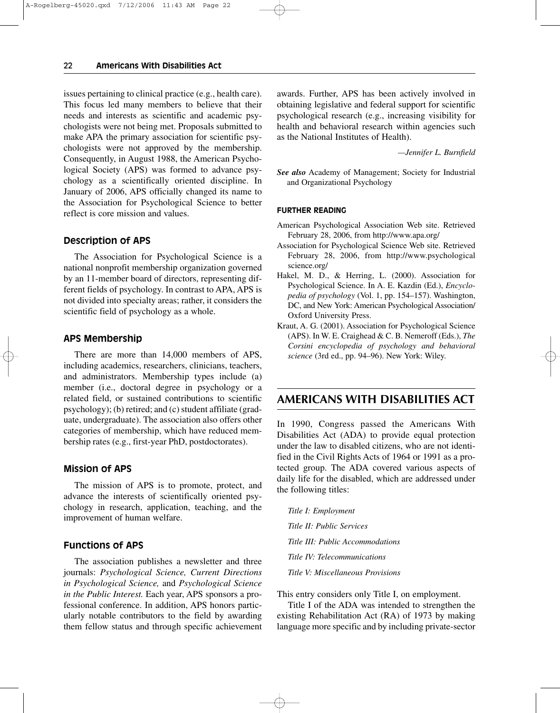### 22———**Americans With Disabilities Act**

issues pertaining to clinical practice (e.g., health care). This focus led many members to believe that their needs and interests as scientific and academic psychologists were not being met. Proposals submitted to make APA the primary association for scientific psychologists were not approved by the membership. Consequently, in August 1988, the American Psychological Society (APS) was formed to advance psychology as a scientifically oriented discipline. In January of 2006, APS officially changed its name to the Association for Psychological Science to better reflect is core mission and values.

## **Description of APS**

The Association for Psychological Science is a national nonprofit membership organization governed by an 11-member board of directors, representing different fields of psychology. In contrast to APA, APS is not divided into specialty areas; rather, it considers the scientific field of psychology as a whole.

## **APS Membership**

There are more than 14,000 members of APS, including academics, researchers, clinicians, teachers, and administrators. Membership types include (a) member (i.e., doctoral degree in psychology or a related field, or sustained contributions to scientific psychology); (b) retired; and (c) student affiliate (graduate, undergraduate). The association also offers other categories of membership, which have reduced membership rates (e.g., first-year PhD, postdoctorates).

## **Mission of APS**

The mission of APS is to promote, protect, and advance the interests of scientifically oriented psychology in research, application, teaching, and the improvement of human welfare.

## **Functions of APS**

The association publishes a newsletter and three journals: *Psychological Science, Current Directions in Psychological Science,* and *Psychological Science in the Public Interest.* Each year, APS sponsors a professional conference. In addition, APS honors particularly notable contributors to the field by awarding them fellow status and through specific achievement awards. Further, APS has been actively involved in obtaining legislative and federal support for scientific psychological research (e.g., increasing visibility for health and behavioral research within agencies such as the National Institutes of Health).

*—Jennifer L. Burnfield*

*See also* Academy of Management; Society for Industrial and Organizational Psychology

## **FURTHER READING**

- American Psychological Association Web site. Retrieved February 28, 2006, from http://www.apa.org/
- Association for Psychological Science Web site. Retrieved February 28, 2006, from http://www.psychological science.org/
- Hakel, M. D., & Herring, L. (2000). Association for Psychological Science. In A. E. Kazdin (Ed.), *Encyclopedia of psychology* (Vol. 1, pp. 154–157). Washington, DC, and New York: American Psychological Association/ Oxford University Press.
- Kraut, A. G. (2001). Association for Psychological Science (APS). In W. E. Craighead & C. B. Nemeroff (Eds.), *The Corsini encyclopedia of psychology and behavioral science* (3rd ed., pp. 94–96). New York: Wiley.

# **AMERICANS WITH DISABILITIES ACT**

In 1990, Congress passed the Americans With Disabilities Act (ADA) to provide equal protection under the law to disabled citizens, who are not identified in the Civil Rights Acts of 1964 or 1991 as a protected group. The ADA covered various aspects of daily life for the disabled, which are addressed under the following titles:

*Title I: Employment Title II: Public Services Title III: Public Accommodations Title IV: Telecommunications Title V: Miscellaneous Provisions*

This entry considers only Title I, on employment.

Title I of the ADA was intended to strengthen the existing Rehabilitation Act (RA) of 1973 by making language more specific and by including private-sector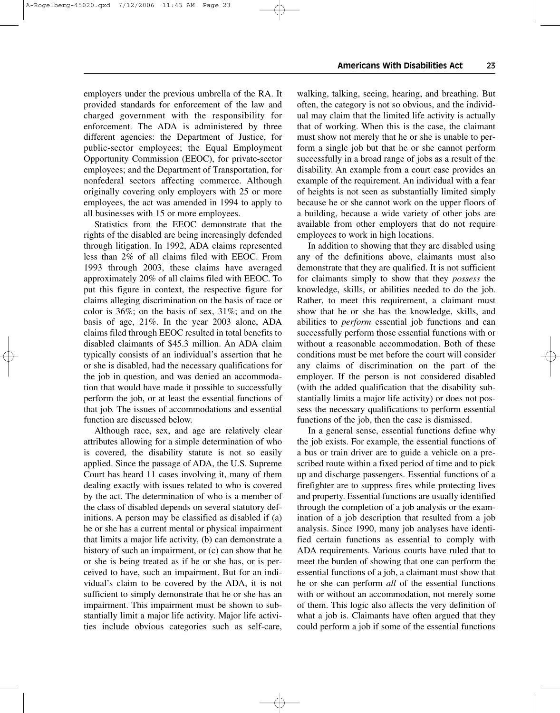employers under the previous umbrella of the RA. It provided standards for enforcement of the law and charged government with the responsibility for enforcement. The ADA is administered by three different agencies: the Department of Justice, for public-sector employees; the Equal Employment Opportunity Commission (EEOC), for private-sector employees; and the Department of Transportation, for nonfederal sectors affecting commerce. Although originally covering only employers with 25 or more employees, the act was amended in 1994 to apply to all businesses with 15 or more employees.

Statistics from the EEOC demonstrate that the rights of the disabled are being increasingly defended through litigation. In 1992, ADA claims represented less than 2% of all claims filed with EEOC. From 1993 through 2003, these claims have averaged approximately 20% of all claims filed with EEOC. To put this figure in context, the respective figure for claims alleging discrimination on the basis of race or color is 36%; on the basis of sex, 31%; and on the basis of age, 21%. In the year 2003 alone, ADA claims filed through EEOC resulted in total benefits to disabled claimants of \$45.3 million. An ADA claim typically consists of an individual's assertion that he or she is disabled, had the necessary qualifications for the job in question, and was denied an accommodation that would have made it possible to successfully perform the job, or at least the essential functions of that job. The issues of accommodations and essential function are discussed below.

Although race, sex, and age are relatively clear attributes allowing for a simple determination of who is covered, the disability statute is not so easily applied. Since the passage of ADA, the U.S. Supreme Court has heard 11 cases involving it, many of them dealing exactly with issues related to who is covered by the act. The determination of who is a member of the class of disabled depends on several statutory definitions. A person may be classified as disabled if (a) he or she has a current mental or physical impairment that limits a major life activity, (b) can demonstrate a history of such an impairment, or (c) can show that he or she is being treated as if he or she has, or is perceived to have, such an impairment. But for an individual's claim to be covered by the ADA, it is not sufficient to simply demonstrate that he or she has an impairment. This impairment must be shown to substantially limit a major life activity. Major life activities include obvious categories such as self-care,

walking, talking, seeing, hearing, and breathing. But often, the category is not so obvious, and the individual may claim that the limited life activity is actually that of working. When this is the case, the claimant must show not merely that he or she is unable to perform a single job but that he or she cannot perform successfully in a broad range of jobs as a result of the disability. An example from a court case provides an example of the requirement. An individual with a fear of heights is not seen as substantially limited simply because he or she cannot work on the upper floors of a building, because a wide variety of other jobs are available from other employers that do not require employees to work in high locations.

In addition to showing that they are disabled using any of the definitions above, claimants must also demonstrate that they are qualified. It is not sufficient for claimants simply to show that they *possess* the knowledge, skills, or abilities needed to do the job. Rather, to meet this requirement, a claimant must show that he or she has the knowledge, skills, and abilities to *perform* essential job functions and can successfully perform those essential functions with or without a reasonable accommodation. Both of these conditions must be met before the court will consider any claims of discrimination on the part of the employer. If the person is not considered disabled (with the added qualification that the disability substantially limits a major life activity) or does not possess the necessary qualifications to perform essential functions of the job, then the case is dismissed.

In a general sense, essential functions define why the job exists. For example, the essential functions of a bus or train driver are to guide a vehicle on a prescribed route within a fixed period of time and to pick up and discharge passengers. Essential functions of a firefighter are to suppress fires while protecting lives and property. Essential functions are usually identified through the completion of a job analysis or the examination of a job description that resulted from a job analysis. Since 1990, many job analyses have identified certain functions as essential to comply with ADA requirements. Various courts have ruled that to meet the burden of showing that one can perform the essential functions of a job, a claimant must show that he or she can perform *all* of the essential functions with or without an accommodation, not merely some of them. This logic also affects the very definition of what a job is. Claimants have often argued that they could perform a job if some of the essential functions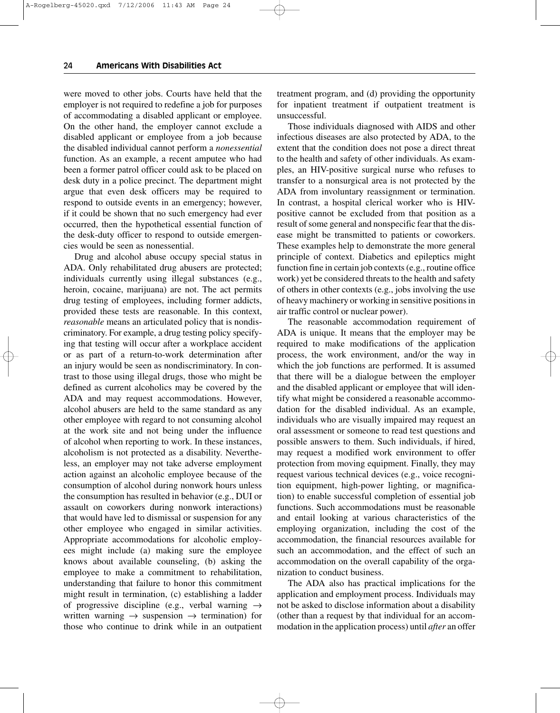#### 24———**Americans With Disabilities Act**

were moved to other jobs. Courts have held that the employer is not required to redefine a job for purposes of accommodating a disabled applicant or employee. On the other hand, the employer cannot exclude a disabled applicant or employee from a job because the disabled individual cannot perform a *nonessential* function. As an example, a recent amputee who had been a former patrol officer could ask to be placed on desk duty in a police precinct. The department might argue that even desk officers may be required to respond to outside events in an emergency; however, if it could be shown that no such emergency had ever occurred, then the hypothetical essential function of the desk-duty officer to respond to outside emergencies would be seen as nonessential.

Drug and alcohol abuse occupy special status in ADA. Only rehabilitated drug abusers are protected; individuals currently using illegal substances (e.g., heroin, cocaine, marijuana) are not. The act permits drug testing of employees, including former addicts, provided these tests are reasonable. In this context, *reasonable* means an articulated policy that is nondiscriminatory. For example, a drug testing policy specifying that testing will occur after a workplace accident or as part of a return-to-work determination after an injury would be seen as nondiscriminatory. In contrast to those using illegal drugs, those who might be defined as current alcoholics may be covered by the ADA and may request accommodations. However, alcohol abusers are held to the same standard as any other employee with regard to not consuming alcohol at the work site and not being under the influence of alcohol when reporting to work. In these instances, alcoholism is not protected as a disability. Nevertheless, an employer may not take adverse employment action against an alcoholic employee because of the consumption of alcohol during nonwork hours unless the consumption has resulted in behavior (e.g., DUI or assault on coworkers during nonwork interactions) that would have led to dismissal or suspension for any other employee who engaged in similar activities. Appropriate accommodations for alcoholic employees might include (a) making sure the employee knows about available counseling, (b) asking the employee to make a commitment to rehabilitation, understanding that failure to honor this commitment might result in termination, (c) establishing a ladder of progressive discipline (e.g., verbal warning  $\rightarrow$ written warning  $\rightarrow$  suspension  $\rightarrow$  termination) for those who continue to drink while in an outpatient treatment program, and (d) providing the opportunity for inpatient treatment if outpatient treatment is unsuccessful.

Those individuals diagnosed with AIDS and other infectious diseases are also protected by ADA, to the extent that the condition does not pose a direct threat to the health and safety of other individuals. As examples, an HIV-positive surgical nurse who refuses to transfer to a nonsurgical area is not protected by the ADA from involuntary reassignment or termination. In contrast, a hospital clerical worker who is HIVpositive cannot be excluded from that position as a result of some general and nonspecific fear that the disease might be transmitted to patients or coworkers. These examples help to demonstrate the more general principle of context. Diabetics and epileptics might function fine in certain job contexts (e.g., routine office work) yet be considered threats to the health and safety of others in other contexts (e.g., jobs involving the use of heavy machinery or working in sensitive positions in air traffic control or nuclear power).

The reasonable accommodation requirement of ADA is unique. It means that the employer may be required to make modifications of the application process, the work environment, and/or the way in which the job functions are performed. It is assumed that there will be a dialogue between the employer and the disabled applicant or employee that will identify what might be considered a reasonable accommodation for the disabled individual. As an example, individuals who are visually impaired may request an oral assessment or someone to read test questions and possible answers to them. Such individuals, if hired, may request a modified work environment to offer protection from moving equipment. Finally, they may request various technical devices (e.g., voice recognition equipment, high-power lighting, or magnification) to enable successful completion of essential job functions. Such accommodations must be reasonable and entail looking at various characteristics of the employing organization, including the cost of the accommodation, the financial resources available for such an accommodation, and the effect of such an accommodation on the overall capability of the organization to conduct business.

The ADA also has practical implications for the application and employment process. Individuals may not be asked to disclose information about a disability (other than a request by that individual for an accommodation in the application process) until *after* an offer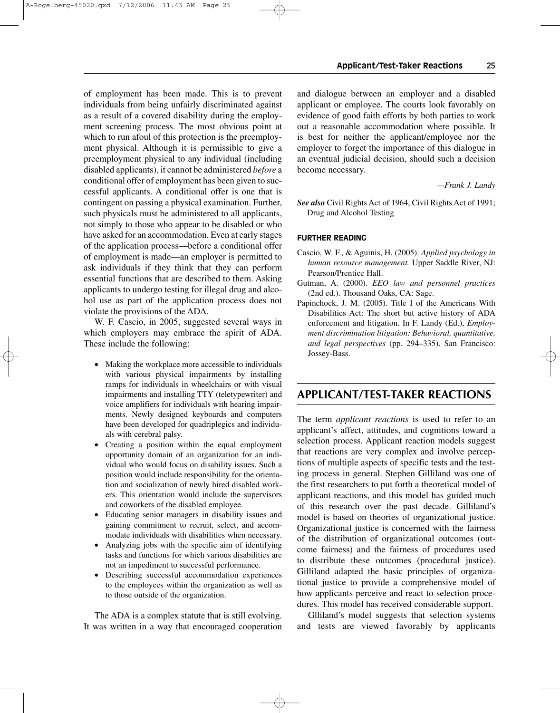of employment has been made. This is to prevent individuals from being unfairly discriminated against as a result of a covered disability during the employment screening process. The most obvious point at which to run afoul of this protection is the preemployment physical. Although it is permissible to give a preemployment physical to any individual (including disabled applicants), it cannot be administered *before* a conditional offer of employment has been given to successful applicants. A conditional offer is one that is contingent on passing a physical examination. Further, such physicals must be administered to all applicants, not simply to those who appear to be disabled or who have asked for an accommodation. Even at early stages of the application process—before a conditional offer of employment is made—an employer is permitted to ask individuals if they think that they can perform essential functions that are described to them. Asking applicants to undergo testing for illegal drug and alcohol use as part of the application process does not violate the provisions of the ADA.

W. F. Cascio, in 2005, suggested several ways in which employers may embrace the spirit of ADA. These include the following:

- Making the workplace more accessible to individuals with various physical impairments by installing ramps for individuals in wheelchairs or with visual impairments and installing TTY (teletypewriter) and voice amplifiers for individuals with hearing impairments. Newly designed keyboards and computers have been developed for quadriplegics and individuals with cerebral palsy.
- Creating a position within the equal employment opportunity domain of an organization for an individual who would focus on disability issues. Such a position would include responsibility for the orientation and socialization of newly hired disabled workers. This orientation would include the supervisors and coworkers of the disabled employee.
- Educating senior managers in disability issues and gaining commitment to recruit, select, and accommodate individuals with disabilities when necessary.
- Analyzing jobs with the specific aim of identifying tasks and functions for which various disabilities are not an impediment to successful performance.
- Describing successful accommodation experiences to the employees within the organization as well as to those outside of the organization.

The ADA is a complex statute that is still evolving. It was written in a way that encouraged cooperation and dialogue between an employer and a disabled applicant or employee. The courts look favorably on evidence of good faith efforts by both parties to work out a reasonable accommodation where possible. It is best for neither the applicant/employee nor the employer to forget the importance of this dialogue in an eventual judicial decision, should such a decision become necessary.

*—Frank J. Landy*

*See also* Civil Rights Act of 1964, Civil Rights Act of 1991; Drug and Alcohol Testing

#### **FURTHER READING**

- Cascio, W. F., & Aguinis, H. (2005). *Applied psychology in human resource management.* Upper Saddle River, NJ: Pearson/Prentice Hall.
- Gutman, A. (2000). *EEO law and personnel practices* (2nd ed.). Thousand Oaks, CA: Sage.
- Papinchock, J. M. (2005). Title I of the Americans With Disabilities Act: The short but active history of ADA enforcement and litigation. In F. Landy (Ed.), *Employment discrimination litigation: Behavioral, quantitative, and legal perspectives* (pp. 294–335). San Francisco: Jossey-Bass.

## **APPLICANT/TEST-TAKER REACTIONS**

The term *applicant reactions* is used to refer to an applicant's affect, attitudes, and cognitions toward a selection process. Applicant reaction models suggest that reactions are very complex and involve perceptions of multiple aspects of specific tests and the testing process in general. Stephen Gilliland was one of the first researchers to put forth a theoretical model of applicant reactions, and this model has guided much of this research over the past decade. Gilliland's model is based on theories of organizational justice. Organizational justice is concerned with the fairness of the distribution of organizational outcomes (outcome fairness) and the fairness of procedures used to distribute these outcomes (procedural justice). Gilliland adapted the basic principles of organizational justice to provide a comprehensive model of how applicants perceive and react to selection procedures. This model has received considerable support.

Glliland's model suggests that selection systems and tests are viewed favorably by applicants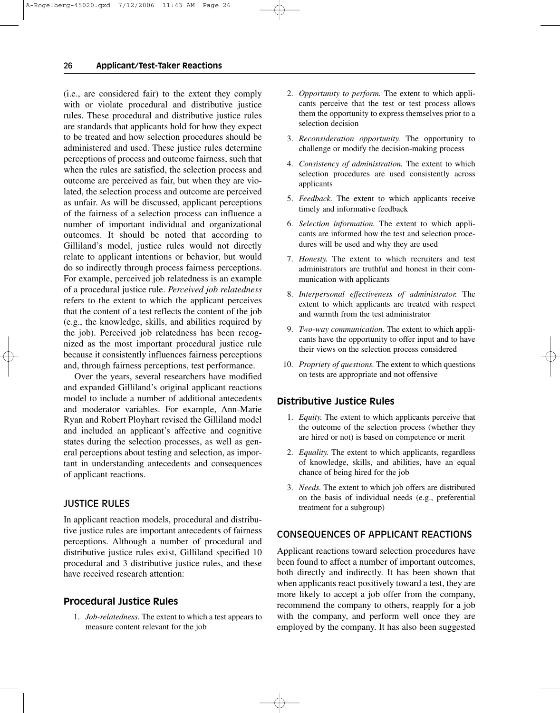#### 26———**Applicant/Test-Taker Reactions**

(i.e., are considered fair) to the extent they comply with or violate procedural and distributive justice rules. These procedural and distributive justice rules are standards that applicants hold for how they expect to be treated and how selection procedures should be administered and used. These justice rules determine perceptions of process and outcome fairness, such that when the rules are satisfied, the selection process and outcome are perceived as fair, but when they are violated, the selection process and outcome are perceived as unfair. As will be discussed, applicant perceptions of the fairness of a selection process can influence a number of important individual and organizational outcomes. It should be noted that according to Gilliland's model, justice rules would not directly relate to applicant intentions or behavior, but would do so indirectly through process fairness perceptions. For example, perceived job relatedness is an example of a procedural justice rule. *Perceived job relatedness* refers to the extent to which the applicant perceives that the content of a test reflects the content of the job (e.g., the knowledge, skills, and abilities required by the job). Perceived job relatedness has been recognized as the most important procedural justice rule because it consistently influences fairness perceptions and, through fairness perceptions, test performance.

Over the years, several researchers have modified and expanded Gilliland's original applicant reactions model to include a number of additional antecedents and moderator variables. For example, Ann-Marie Ryan and Robert Ployhart revised the Gilliland model and included an applicant's affective and cognitive states during the selection processes, as well as general perceptions about testing and selection, as important in understanding antecedents and consequences of applicant reactions.

### JUSTICE RULES

In applicant reaction models, procedural and distributive justice rules are important antecedents of fairness perceptions. Although a number of procedural and distributive justice rules exist, Gilliland specified 10 procedural and 3 distributive justice rules, and these have received research attention:

### **Procedural Justice Rules**

1. *Job-relatedness.* The extent to which a test appears to measure content relevant for the job

- 2. *Opportunity to perform.* The extent to which applicants perceive that the test or test process allows them the opportunity to express themselves prior to a selection decision
- 3. *Reconsideration opportunity.* The opportunity to challenge or modify the decision-making process
- 4. *Consistency of administration.* The extent to which selection procedures are used consistently across applicants
- 5. *Feedback.* The extent to which applicants receive timely and informative feedback
- 6. *Selection information.* The extent to which applicants are informed how the test and selection procedures will be used and why they are used
- 7. *Honesty.* The extent to which recruiters and test administrators are truthful and honest in their communication with applicants
- 8. *Interpersonal effectiveness of administrator.* The extent to which applicants are treated with respect and warmth from the test administrator
- 9. *Two-way communication.* The extent to which applicants have the opportunity to offer input and to have their views on the selection process considered
- 10. *Propriety of questions.* The extent to which questions on tests are appropriate and not offensive

### **Distributive Justice Rules**

- 1. *Equity.* The extent to which applicants perceive that the outcome of the selection process (whether they are hired or not) is based on competence or merit
- 2. *Equality.* The extent to which applicants, regardless of knowledge, skills, and abilities, have an equal chance of being hired for the job
- 3. *Needs.* The extent to which job offers are distributed on the basis of individual needs (e.g., preferential treatment for a subgroup)

## CONSEQUENCES OF APPLICANT REACTIONS

Applicant reactions toward selection procedures have been found to affect a number of important outcomes, both directly and indirectly. It has been shown that when applicants react positively toward a test, they are more likely to accept a job offer from the company, recommend the company to others, reapply for a job with the company, and perform well once they are employed by the company. It has also been suggested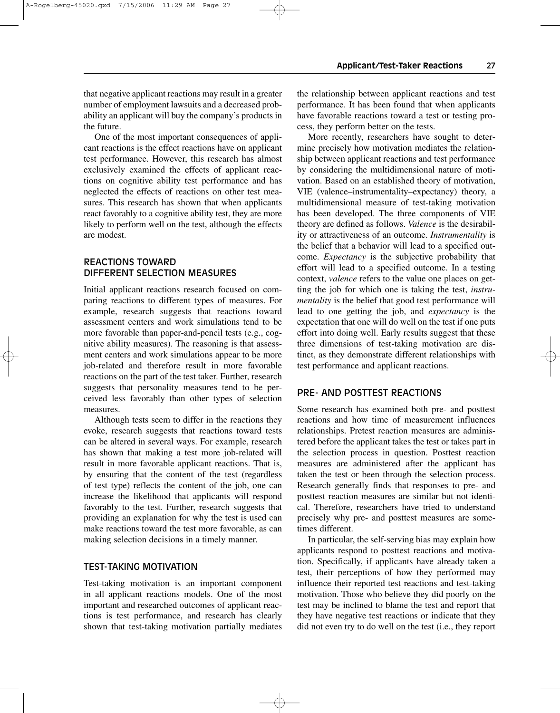that negative applicant reactions may result in a greater number of employment lawsuits and a decreased probability an applicant will buy the company's products in the future.

One of the most important consequences of applicant reactions is the effect reactions have on applicant test performance. However, this research has almost exclusively examined the effects of applicant reactions on cognitive ability test performance and has neglected the effects of reactions on other test measures. This research has shown that when applicants react favorably to a cognitive ability test, they are more likely to perform well on the test, although the effects are modest.

## REACTIONS TOWARD DIFFERENT SELECTION MEASURES

Initial applicant reactions research focused on comparing reactions to different types of measures. For example, research suggests that reactions toward assessment centers and work simulations tend to be more favorable than paper-and-pencil tests (e.g., cognitive ability measures). The reasoning is that assessment centers and work simulations appear to be more job-related and therefore result in more favorable reactions on the part of the test taker. Further, research suggests that personality measures tend to be perceived less favorably than other types of selection measures.

Although tests seem to differ in the reactions they evoke, research suggests that reactions toward tests can be altered in several ways. For example, research has shown that making a test more job-related will result in more favorable applicant reactions. That is, by ensuring that the content of the test (regardless of test type) reflects the content of the job, one can increase the likelihood that applicants will respond favorably to the test. Further, research suggests that providing an explanation for why the test is used can make reactions toward the test more favorable, as can making selection decisions in a timely manner.

## TEST-TAKING MOTIVATION

Test-taking motivation is an important component in all applicant reactions models. One of the most important and researched outcomes of applicant reactions is test performance, and research has clearly shown that test-taking motivation partially mediates the relationship between applicant reactions and test performance. It has been found that when applicants have favorable reactions toward a test or testing process, they perform better on the tests.

More recently, researchers have sought to determine precisely how motivation mediates the relationship between applicant reactions and test performance by considering the multidimensional nature of motivation. Based on an established theory of motivation, VIE (valence–instrumentality–expectancy) theory, a multidimensional measure of test-taking motivation has been developed. The three components of VIE theory are defined as follows. *Valence* is the desirability or attractiveness of an outcome. *Instrumentality* is the belief that a behavior will lead to a specified outcome. *Expectancy* is the subjective probability that effort will lead to a specified outcome. In a testing context, *valence* refers to the value one places on getting the job for which one is taking the test, *instrumentality* is the belief that good test performance will lead to one getting the job, and *expectancy* is the expectation that one will do well on the test if one puts effort into doing well. Early results suggest that these three dimensions of test-taking motivation are distinct, as they demonstrate different relationships with test performance and applicant reactions.

## PRE- AND POSTTEST REACTIONS

Some research has examined both pre- and posttest reactions and how time of measurement influences relationships. Pretest reaction measures are administered before the applicant takes the test or takes part in the selection process in question. Posttest reaction measures are administered after the applicant has taken the test or been through the selection process. Research generally finds that responses to pre- and posttest reaction measures are similar but not identical. Therefore, researchers have tried to understand precisely why pre- and posttest measures are sometimes different.

In particular, the self-serving bias may explain how applicants respond to posttest reactions and motivation. Specifically, if applicants have already taken a test, their perceptions of how they performed may influence their reported test reactions and test-taking motivation. Those who believe they did poorly on the test may be inclined to blame the test and report that they have negative test reactions or indicate that they did not even try to do well on the test (i.e., they report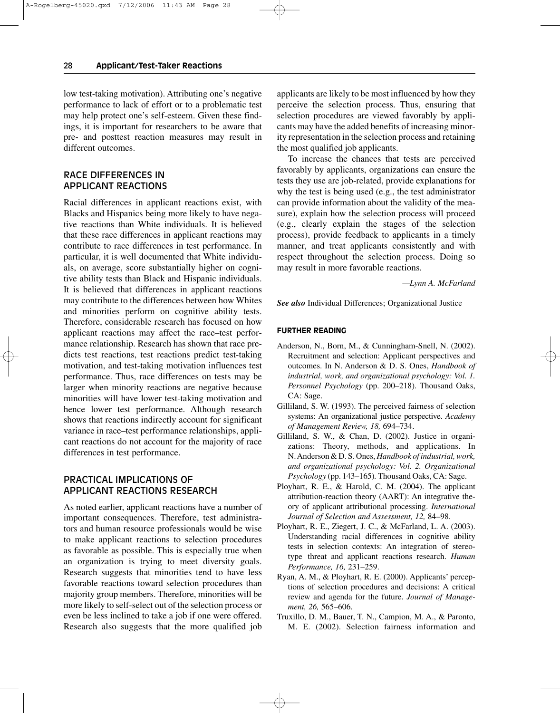#### 28———**Applicant/Test-Taker Reactions**

low test-taking motivation). Attributing one's negative performance to lack of effort or to a problematic test may help protect one's self-esteem. Given these findings, it is important for researchers to be aware that pre- and posttest reaction measures may result in different outcomes.

## RACE DIFFERENCES IN APPLICANT REACTIONS

Racial differences in applicant reactions exist, with Blacks and Hispanics being more likely to have negative reactions than White individuals. It is believed that these race differences in applicant reactions may contribute to race differences in test performance. In particular, it is well documented that White individuals, on average, score substantially higher on cognitive ability tests than Black and Hispanic individuals. It is believed that differences in applicant reactions may contribute to the differences between how Whites and minorities perform on cognitive ability tests. Therefore, considerable research has focused on how applicant reactions may affect the race–test performance relationship. Research has shown that race predicts test reactions, test reactions predict test-taking motivation, and test-taking motivation influences test performance. Thus, race differences on tests may be larger when minority reactions are negative because minorities will have lower test-taking motivation and hence lower test performance. Although research shows that reactions indirectly account for significant variance in race–test performance relationships, applicant reactions do not account for the majority of race differences in test performance.

## PRACTICAL IMPLICATIONS OF APPLICANT REACTIONS RESEARCH

As noted earlier, applicant reactions have a number of important consequences. Therefore, test administrators and human resource professionals would be wise to make applicant reactions to selection procedures as favorable as possible. This is especially true when an organization is trying to meet diversity goals. Research suggests that minorities tend to have less favorable reactions toward selection procedures than majority group members. Therefore, minorities will be more likely to self-select out of the selection process or even be less inclined to take a job if one were offered. Research also suggests that the more qualified job applicants are likely to be most influenced by how they perceive the selection process. Thus, ensuring that selection procedures are viewed favorably by applicants may have the added benefits of increasing minority representation in the selection process and retaining the most qualified job applicants.

To increase the chances that tests are perceived favorably by applicants, organizations can ensure the tests they use are job-related, provide explanations for why the test is being used (e.g., the test administrator can provide information about the validity of the measure), explain how the selection process will proceed (e.g., clearly explain the stages of the selection process), provide feedback to applicants in a timely manner, and treat applicants consistently and with respect throughout the selection process. Doing so may result in more favorable reactions.

*—Lynn A. McFarland*

*See also* Individual Differences; Organizational Justice

#### **FURTHER READING**

- Anderson, N., Born, M., & Cunningham-Snell, N. (2002). Recruitment and selection: Applicant perspectives and outcomes. In N. Anderson & D. S. Ones, *Handbook of industrial, work, and organizational psychology: Vol. 1. Personnel Psychology* (pp. 200–218). Thousand Oaks, CA: Sage.
- Gilliland, S. W. (1993). The perceived fairness of selection systems: An organizational justice perspective. *Academy of Management Review, 18,* 694–734.
- Gilliland, S. W., & Chan, D. (2002). Justice in organizations: Theory, methods, and applications. In N.Anderson & D. S. Ones, *Handbook of industrial, work, and organizational psychology: Vol. 2. Organizational Psychology* (pp. 143–165)*.* Thousand Oaks, CA: Sage.
- Ployhart, R. E., & Harold, C. M. (2004). The applicant attribution-reaction theory (AART): An integrative theory of applicant attributional processing. *International Journal of Selection and Assessment, 12,* 84–98.
- Ployhart, R. E., Ziegert, J. C., & McFarland, L. A. (2003). Understanding racial differences in cognitive ability tests in selection contexts: An integration of stereotype threat and applicant reactions research. *Human Performance, 16,* 231–259.
- Ryan, A. M., & Ployhart, R. E. (2000). Applicants' perceptions of selection procedures and decisions: A critical review and agenda for the future. *Journal of Management, 26,* 565–606.
- Truxillo, D. M., Bauer, T. N., Campion, M. A., & Paronto, M. E. (2002). Selection fairness information and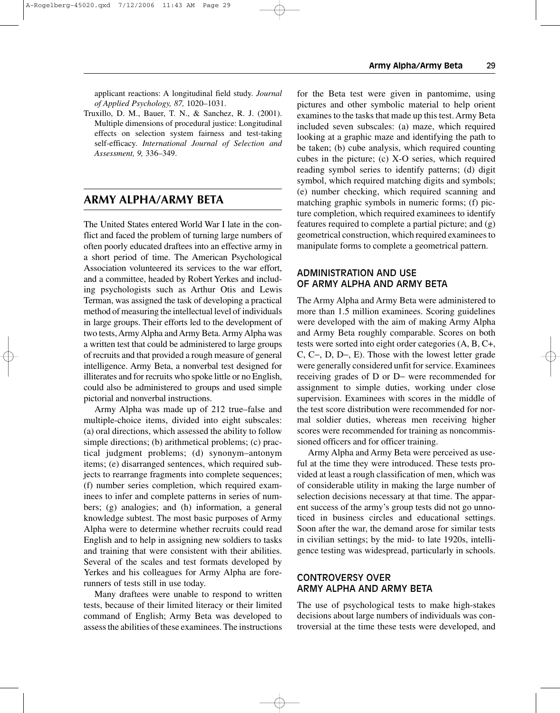applicant reactions: A longitudinal field study. *Journal of Applied Psychology, 87,* 1020–1031.

Truxillo, D. M., Bauer, T. N., & Sanchez, R. J. (2001). Multiple dimensions of procedural justice: Longitudinal effects on selection system fairness and test-taking self-efficacy. *International Journal of Selection and Assessment, 9,* 336–349.

## **ARMY ALPHA/ARMY BETA**

The United States entered World War I late in the conflict and faced the problem of turning large numbers of often poorly educated draftees into an effective army in a short period of time. The American Psychological Association volunteered its services to the war effort, and a committee, headed by Robert Yerkes and including psychologists such as Arthur Otis and Lewis Terman, was assigned the task of developing a practical method of measuring the intellectual level of individuals in large groups. Their efforts led to the development of two tests, Army Alpha and Army Beta. Army Alpha was a written test that could be administered to large groups of recruits and that provided a rough measure of general intelligence. Army Beta, a nonverbal test designed for illiterates and for recruits who spoke little or no English, could also be administered to groups and used simple pictorial and nonverbal instructions.

Army Alpha was made up of 212 true–false and multiple-choice items, divided into eight subscales: (a) oral directions, which assessed the ability to follow simple directions; (b) arithmetical problems; (c) practical judgment problems; (d) synonym–antonym items; (e) disarranged sentences, which required subjects to rearrange fragments into complete sequences; (f) number series completion, which required examinees to infer and complete patterns in series of numbers; (g) analogies; and (h) information, a general knowledge subtest. The most basic purposes of Army Alpha were to determine whether recruits could read English and to help in assigning new soldiers to tasks and training that were consistent with their abilities. Several of the scales and test formats developed by Yerkes and his colleagues for Army Alpha are forerunners of tests still in use today.

Many draftees were unable to respond to written tests, because of their limited literacy or their limited command of English; Army Beta was developed to assess the abilities of these examinees. The instructions

for the Beta test were given in pantomime, using pictures and other symbolic material to help orient examines to the tasks that made up this test. Army Beta included seven subscales: (a) maze, which required looking at a graphic maze and identifying the path to be taken; (b) cube analysis, which required counting cubes in the picture; (c) X-O series, which required reading symbol series to identify patterns; (d) digit symbol, which required matching digits and symbols; (e) number checking, which required scanning and matching graphic symbols in numeric forms; (f) picture completion, which required examinees to identify features required to complete a partial picture; and (g) geometrical construction, which required examinees to manipulate forms to complete a geometrical pattern.

## ADMINISTRATION AND USE OF ARMY ALPHA AND ARMY BETA

The Army Alpha and Army Beta were administered to more than 1.5 million examinees. Scoring guidelines were developed with the aim of making Army Alpha and Army Beta roughly comparable. Scores on both tests were sorted into eight order categories (A, B, C+, C, C−, D, D−, E). Those with the lowest letter grade were generally considered unfit for service. Examinees receiving grades of D or D− were recommended for assignment to simple duties, working under close supervision. Examinees with scores in the middle of the test score distribution were recommended for normal soldier duties, whereas men receiving higher scores were recommended for training as noncommissioned officers and for officer training.

Army Alpha and Army Beta were perceived as useful at the time they were introduced. These tests provided at least a rough classification of men, which was of considerable utility in making the large number of selection decisions necessary at that time. The apparent success of the army's group tests did not go unnoticed in business circles and educational settings. Soon after the war, the demand arose for similar tests in civilian settings; by the mid- to late 1920s, intelligence testing was widespread, particularly in schools.

## CONTROVERSY OVER ARMY ALPHA AND ARMY BETA

The use of psychological tests to make high-stakes decisions about large numbers of individuals was controversial at the time these tests were developed, and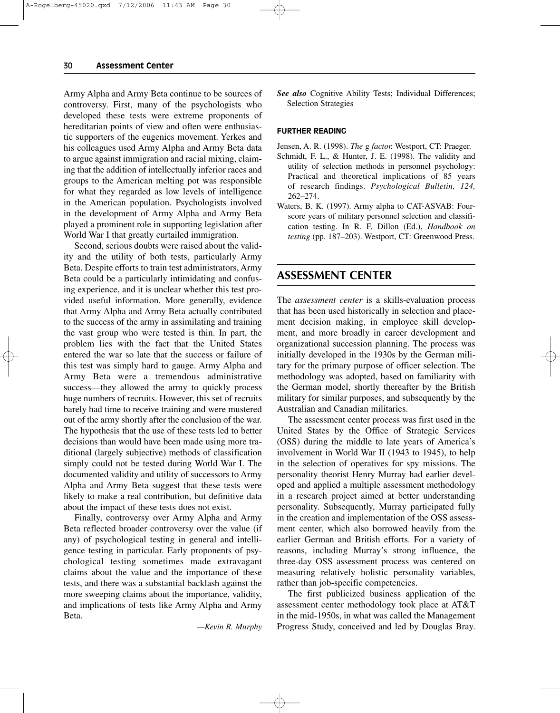#### 30———**Assessment Center**

Army Alpha and Army Beta continue to be sources of controversy. First, many of the psychologists who developed these tests were extreme proponents of hereditarian points of view and often were enthusiastic supporters of the eugenics movement. Yerkes and his colleagues used Army Alpha and Army Beta data to argue against immigration and racial mixing, claiming that the addition of intellectually inferior races and groups to the American melting pot was responsible for what they regarded as low levels of intelligence in the American population. Psychologists involved in the development of Army Alpha and Army Beta played a prominent role in supporting legislation after World War I that greatly curtailed immigration.

Second, serious doubts were raised about the validity and the utility of both tests, particularly Army Beta. Despite efforts to train test administrators, Army Beta could be a particularly intimidating and confusing experience, and it is unclear whether this test provided useful information. More generally, evidence that Army Alpha and Army Beta actually contributed to the success of the army in assimilating and training the vast group who were tested is thin. In part, the problem lies with the fact that the United States entered the war so late that the success or failure of this test was simply hard to gauge. Army Alpha and Army Beta were a tremendous administrative success—they allowed the army to quickly process huge numbers of recruits. However, this set of recruits barely had time to receive training and were mustered out of the army shortly after the conclusion of the war. The hypothesis that the use of these tests led to better decisions than would have been made using more traditional (largely subjective) methods of classification simply could not be tested during World War I. The documented validity and utility of successors to Army Alpha and Army Beta suggest that these tests were likely to make a real contribution, but definitive data about the impact of these tests does not exist.

Finally, controversy over Army Alpha and Army Beta reflected broader controversy over the value (if any) of psychological testing in general and intelligence testing in particular. Early proponents of psychological testing sometimes made extravagant claims about the value and the importance of these tests, and there was a substantial backlash against the more sweeping claims about the importance, validity, and implications of tests like Army Alpha and Army Beta.

*—Kevin R. Murphy*

*See also* Cognitive Ability Tests; Individual Differences; Selection Strategies

#### **FURTHER READING**

Jensen, A. R. (1998). *The* g *factor.* Westport, CT: Praeger.

- Schmidt, F. L., & Hunter, J. E. (1998). The validity and utility of selection methods in personnel psychology: Practical and theoretical implications of 85 years of research findings. *Psychological Bulletin, 124,* 262–274.
- Waters, B. K. (1997). Army alpha to CAT-ASVAB: Fourscore years of military personnel selection and classification testing. In R. F. Dillon (Ed.), *Handbook on testing* (pp. 187–203). Westport, CT: Greenwood Press.

# **ASSESSMENT CENTER**

The *assessment center* is a skills-evaluation process that has been used historically in selection and placement decision making, in employee skill development, and more broadly in career development and organizational succession planning. The process was initially developed in the 1930s by the German military for the primary purpose of officer selection. The methodology was adopted, based on familiarity with the German model, shortly thereafter by the British military for similar purposes, and subsequently by the Australian and Canadian militaries.

The assessment center process was first used in the United States by the Office of Strategic Services (OSS) during the middle to late years of America's involvement in World War II (1943 to 1945), to help in the selection of operatives for spy missions. The personality theorist Henry Murray had earlier developed and applied a multiple assessment methodology in a research project aimed at better understanding personality. Subsequently, Murray participated fully in the creation and implementation of the OSS assessment center, which also borrowed heavily from the earlier German and British efforts. For a variety of reasons, including Murray's strong influence, the three-day OSS assessment process was centered on measuring relatively holistic personality variables, rather than job-specific competencies.

The first publicized business application of the assessment center methodology took place at AT&T in the mid-1950s, in what was called the Management Progress Study, conceived and led by Douglas Bray.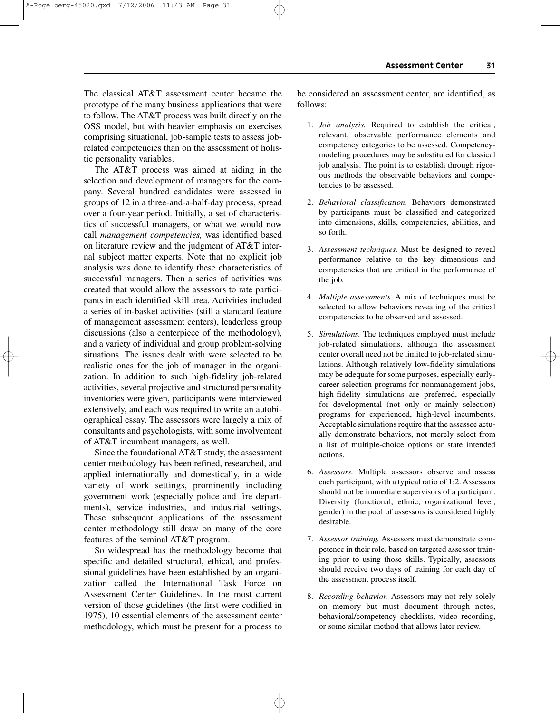The classical AT&T assessment center became the prototype of the many business applications that were to follow. The AT&T process was built directly on the OSS model, but with heavier emphasis on exercises comprising situational, job-sample tests to assess jobrelated competencies than on the assessment of holistic personality variables.

The AT&T process was aimed at aiding in the selection and development of managers for the company. Several hundred candidates were assessed in groups of 12 in a three-and-a-half-day process, spread over a four-year period. Initially, a set of characteristics of successful managers, or what we would now call *management competencies,* was identified based on literature review and the judgment of AT&T internal subject matter experts. Note that no explicit job analysis was done to identify these characteristics of successful managers. Then a series of activities was created that would allow the assessors to rate participants in each identified skill area. Activities included a series of in-basket activities (still a standard feature of management assessment centers), leaderless group discussions (also a centerpiece of the methodology), and a variety of individual and group problem-solving situations. The issues dealt with were selected to be realistic ones for the job of manager in the organization. In addition to such high-fidelity job-related activities, several projective and structured personality inventories were given, participants were interviewed extensively, and each was required to write an autobiographical essay. The assessors were largely a mix of consultants and psychologists, with some involvement of AT&T incumbent managers, as well.

Since the foundational AT&T study, the assessment center methodology has been refined, researched, and applied internationally and domestically, in a wide variety of work settings, prominently including government work (especially police and fire departments), service industries, and industrial settings. These subsequent applications of the assessment center methodology still draw on many of the core features of the seminal AT&T program.

So widespread has the methodology become that specific and detailed structural, ethical, and professional guidelines have been established by an organization called the International Task Force on Assessment Center Guidelines. In the most current version of those guidelines (the first were codified in 1975), 10 essential elements of the assessment center methodology, which must be present for a process to be considered an assessment center, are identified, as follows:

- 1. *Job analysis.* Required to establish the critical, relevant, observable performance elements and competency categories to be assessed. Competencymodeling procedures may be substituted for classical job analysis. The point is to establish through rigorous methods the observable behaviors and competencies to be assessed.
- 2. *Behavioral classification.* Behaviors demonstrated by participants must be classified and categorized into dimensions, skills, competencies, abilities, and so forth.
- 3. *Assessment techniques.* Must be designed to reveal performance relative to the key dimensions and competencies that are critical in the performance of the job.
- 4. *Multiple assessments.* A mix of techniques must be selected to allow behaviors revealing of the critical competencies to be observed and assessed.
- 5. *Simulations.* The techniques employed must include job-related simulations, although the assessment center overall need not be limited to job-related simulations. Although relatively low-fidelity simulations may be adequate for some purposes, especially earlycareer selection programs for nonmanagement jobs, high-fidelity simulations are preferred, especially for developmental (not only or mainly selection) programs for experienced, high-level incumbents. Acceptable simulations require that the assessee actually demonstrate behaviors, not merely select from a list of multiple-choice options or state intended actions.
- 6. *Assessors.* Multiple assessors observe and assess each participant, with a typical ratio of 1:2. Assessors should not be immediate supervisors of a participant. Diversity (functional, ethnic, organizational level, gender) in the pool of assessors is considered highly desirable.
- 7. *Assessor training.* Assessors must demonstrate competence in their role, based on targeted assessor training prior to using those skills. Typically, assessors should receive two days of training for each day of the assessment process itself.
- 8. *Recording behavior.* Assessors may not rely solely on memory but must document through notes, behavioral/competency checklists, video recording, or some similar method that allows later review.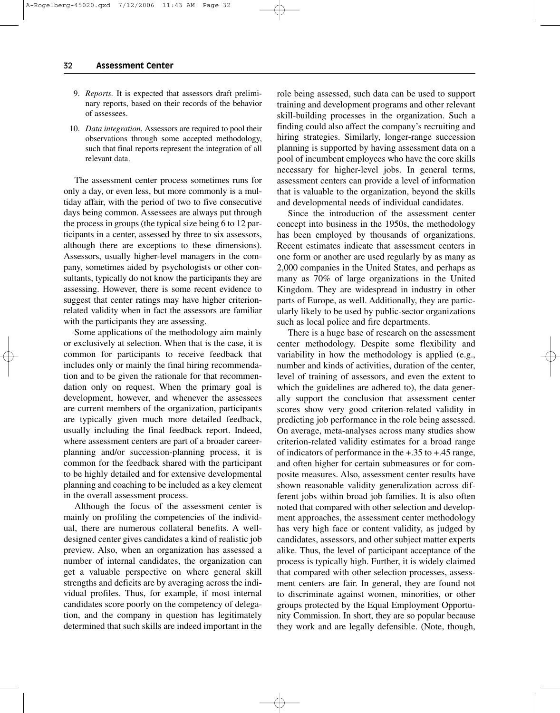#### 32———**Assessment Center**

- 9. *Reports.* It is expected that assessors draft preliminary reports, based on their records of the behavior of assessees.
- 10. *Data integration.* Assessors are required to pool their observations through some accepted methodology, such that final reports represent the integration of all relevant data.

The assessment center process sometimes runs for only a day, or even less, but more commonly is a multiday affair, with the period of two to five consecutive days being common. Assessees are always put through the process in groups (the typical size being 6 to 12 participants in a center, assessed by three to six assessors, although there are exceptions to these dimensions). Assessors, usually higher-level managers in the company, sometimes aided by psychologists or other consultants, typically do not know the participants they are assessing. However, there is some recent evidence to suggest that center ratings may have higher criterionrelated validity when in fact the assessors are familiar with the participants they are assessing.

Some applications of the methodology aim mainly or exclusively at selection. When that is the case, it is common for participants to receive feedback that includes only or mainly the final hiring recommendation and to be given the rationale for that recommendation only on request. When the primary goal is development, however, and whenever the assessees are current members of the organization, participants are typically given much more detailed feedback, usually including the final feedback report. Indeed, where assessment centers are part of a broader careerplanning and/or succession-planning process, it is common for the feedback shared with the participant to be highly detailed and for extensive developmental planning and coaching to be included as a key element in the overall assessment process.

Although the focus of the assessment center is mainly on profiling the competencies of the individual, there are numerous collateral benefits. A welldesigned center gives candidates a kind of realistic job preview. Also, when an organization has assessed a number of internal candidates, the organization can get a valuable perspective on where general skill strengths and deficits are by averaging across the individual profiles. Thus, for example, if most internal candidates score poorly on the competency of delegation, and the company in question has legitimately determined that such skills are indeed important in the role being assessed, such data can be used to support training and development programs and other relevant skill-building processes in the organization. Such a finding could also affect the company's recruiting and hiring strategies. Similarly, longer-range succession planning is supported by having assessment data on a pool of incumbent employees who have the core skills necessary for higher-level jobs. In general terms, assessment centers can provide a level of information that is valuable to the organization, beyond the skills and developmental needs of individual candidates.

Since the introduction of the assessment center concept into business in the 1950s, the methodology has been employed by thousands of organizations. Recent estimates indicate that assessment centers in one form or another are used regularly by as many as 2,000 companies in the United States, and perhaps as many as 70% of large organizations in the United Kingdom. They are widespread in industry in other parts of Europe, as well. Additionally, they are particularly likely to be used by public-sector organizations such as local police and fire departments.

There is a huge base of research on the assessment center methodology. Despite some flexibility and variability in how the methodology is applied (e.g., number and kinds of activities, duration of the center, level of training of assessors, and even the extent to which the guidelines are adhered to), the data generally support the conclusion that assessment center scores show very good criterion-related validity in predicting job performance in the role being assessed. On average, meta-analyses across many studies show criterion-related validity estimates for a broad range of indicators of performance in the +.35 to +.45 range, and often higher for certain submeasures or for composite measures. Also, assessment center results have shown reasonable validity generalization across different jobs within broad job families. It is also often noted that compared with other selection and development approaches, the assessment center methodology has very high face or content validity, as judged by candidates, assessors, and other subject matter experts alike. Thus, the level of participant acceptance of the process is typically high. Further, it is widely claimed that compared with other selection processes, assessment centers are fair. In general, they are found not to discriminate against women, minorities, or other groups protected by the Equal Employment Opportunity Commission. In short, they are so popular because they work and are legally defensible. (Note, though,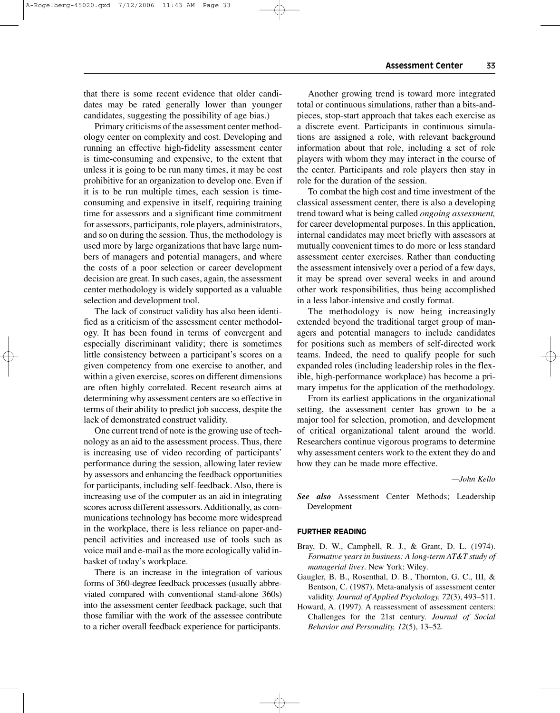that there is some recent evidence that older candidates may be rated generally lower than younger candidates, suggesting the possibility of age bias.)

Primary criticisms of the assessment center methodology center on complexity and cost. Developing and running an effective high-fidelity assessment center is time-consuming and expensive, to the extent that unless it is going to be run many times, it may be cost prohibitive for an organization to develop one. Even if it is to be run multiple times, each session is timeconsuming and expensive in itself, requiring training time for assessors and a significant time commitment for assessors, participants, role players, administrators, and so on during the session. Thus, the methodology is used more by large organizations that have large numbers of managers and potential managers, and where the costs of a poor selection or career development decision are great. In such cases, again, the assessment center methodology is widely supported as a valuable selection and development tool.

The lack of construct validity has also been identified as a criticism of the assessment center methodology. It has been found in terms of convergent and especially discriminant validity; there is sometimes little consistency between a participant's scores on a given competency from one exercise to another, and within a given exercise, scores on different dimensions are often highly correlated. Recent research aims at determining why assessment centers are so effective in terms of their ability to predict job success, despite the lack of demonstrated construct validity.

One current trend of note is the growing use of technology as an aid to the assessment process. Thus, there is increasing use of video recording of participants' performance during the session, allowing later review by assessors and enhancing the feedback opportunities for participants, including self-feedback. Also, there is increasing use of the computer as an aid in integrating scores across different assessors. Additionally, as communications technology has become more widespread in the workplace, there is less reliance on paper-andpencil activities and increased use of tools such as voice mail and e-mail as the more ecologically valid inbasket of today's workplace.

There is an increase in the integration of various forms of 360-degree feedback processes (usually abbreviated compared with conventional stand-alone 360s) into the assessment center feedback package, such that those familiar with the work of the assessee contribute to a richer overall feedback experience for participants.

Another growing trend is toward more integrated total or continuous simulations, rather than a bits-andpieces, stop-start approach that takes each exercise as a discrete event. Participants in continuous simulations are assigned a role, with relevant background information about that role, including a set of role players with whom they may interact in the course of the center. Participants and role players then stay in role for the duration of the session.

To combat the high cost and time investment of the classical assessment center, there is also a developing trend toward what is being called *ongoing assessment,* for career developmental purposes. In this application, internal candidates may meet briefly with assessors at mutually convenient times to do more or less standard assessment center exercises. Rather than conducting the assessment intensively over a period of a few days, it may be spread over several weeks in and around other work responsibilities, thus being accomplished in a less labor-intensive and costly format.

The methodology is now being increasingly extended beyond the traditional target group of managers and potential managers to include candidates for positions such as members of self-directed work teams. Indeed, the need to qualify people for such expanded roles (including leadership roles in the flexible, high-performance workplace) has become a primary impetus for the application of the methodology.

From its earliest applications in the organizational setting, the assessment center has grown to be a major tool for selection, promotion, and development of critical organizational talent around the world. Researchers continue vigorous programs to determine why assessment centers work to the extent they do and how they can be made more effective.

*—John Kello*

*See also* Assessment Center Methods; Leadership Development

#### **FURTHER READING**

- Bray, D. W., Campbell, R. J., & Grant, D. L. (1974). *Formative years in business: A long-term AT&T study of managerial lives*. New York: Wiley.
- Gaugler, B. B., Rosenthal, D. B., Thornton, G. C., III, & Bentson, C. (1987). Meta-analysis of assessment center validity. *Journal of Applied Psychology, 72*(3), 493–511.
- Howard, A. (1997). A reassessment of assessment centers: Challenges for the 21st century. *Journal of Social Behavior and Personality, 12*(5), 13–52.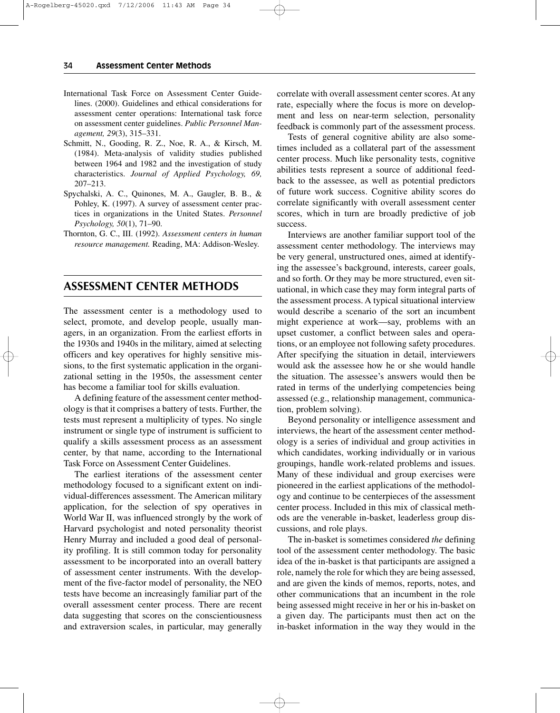#### 34———**Assessment Center Methods**

- International Task Force on Assessment Center Guidelines. (2000). Guidelines and ethical considerations for assessment center operations: International task force on assessment center guidelines. *Public Personnel Management, 29*(3), 315–331.
- Schmitt, N., Gooding, R. Z., Noe, R. A., & Kirsch, M. (1984). Meta-analysis of validity studies published between 1964 and 1982 and the investigation of study characteristics. *Journal of Applied Psychology, 69,* 207–213.
- Spychalski, A. C., Quinones, M. A., Gaugler, B. B., & Pohley, K. (1997). A survey of assessment center practices in organizations in the United States. *Personnel Psychology, 50*(1), 71–90.
- Thornton, G. C., III. (1992). *Assessment centers in human resource management.* Reading, MA: Addison-Wesley.

## **ASSESSMENT CENTER METHODS**

The assessment center is a methodology used to select, promote, and develop people, usually managers, in an organization. From the earliest efforts in the 1930s and 1940s in the military, aimed at selecting officers and key operatives for highly sensitive missions, to the first systematic application in the organizational setting in the 1950s, the assessment center has become a familiar tool for skills evaluation.

A defining feature of the assessment center methodology is that it comprises a battery of tests. Further, the tests must represent a multiplicity of types. No single instrument or single type of instrument is sufficient to qualify a skills assessment process as an assessment center, by that name, according to the International Task Force on Assessment Center Guidelines.

The earliest iterations of the assessment center methodology focused to a significant extent on individual-differences assessment. The American military application, for the selection of spy operatives in World War II, was influenced strongly by the work of Harvard psychologist and noted personality theorist Henry Murray and included a good deal of personality profiling. It is still common today for personality assessment to be incorporated into an overall battery of assessment center instruments. With the development of the five-factor model of personality, the NEO tests have become an increasingly familiar part of the overall assessment center process. There are recent data suggesting that scores on the conscientiousness and extraversion scales, in particular, may generally correlate with overall assessment center scores. At any rate, especially where the focus is more on development and less on near-term selection, personality feedback is commonly part of the assessment process.

Tests of general cognitive ability are also sometimes included as a collateral part of the assessment center process. Much like personality tests, cognitive abilities tests represent a source of additional feedback to the assessee, as well as potential predictors of future work success. Cognitive ability scores do correlate significantly with overall assessment center scores, which in turn are broadly predictive of job success.

Interviews are another familiar support tool of the assessment center methodology. The interviews may be very general, unstructured ones, aimed at identifying the assessee's background, interests, career goals, and so forth. Or they may be more structured, even situational, in which case they may form integral parts of the assessment process. A typical situational interview would describe a scenario of the sort an incumbent might experience at work—say, problems with an upset customer, a conflict between sales and operations, or an employee not following safety procedures. After specifying the situation in detail, interviewers would ask the assessee how he or she would handle the situation. The assessee's answers would then be rated in terms of the underlying competencies being assessed (e.g., relationship management, communication, problem solving).

Beyond personality or intelligence assessment and interviews, the heart of the assessment center methodology is a series of individual and group activities in which candidates, working individually or in various groupings, handle work-related problems and issues. Many of these individual and group exercises were pioneered in the earliest applications of the methodology and continue to be centerpieces of the assessment center process. Included in this mix of classical methods are the venerable in-basket, leaderless group discussions, and role plays.

The in-basket is sometimes considered *the* defining tool of the assessment center methodology. The basic idea of the in-basket is that participants are assigned a role, namely the role for which they are being assessed, and are given the kinds of memos, reports, notes, and other communications that an incumbent in the role being assessed might receive in her or his in-basket on a given day. The participants must then act on the in-basket information in the way they would in the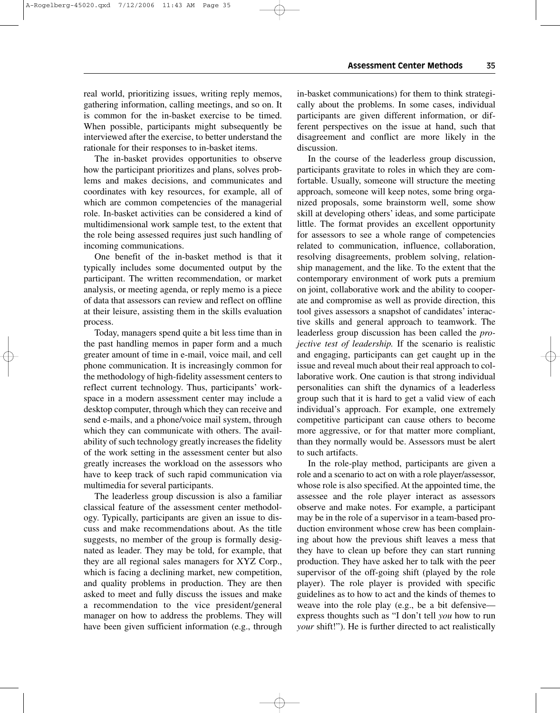real world, prioritizing issues, writing reply memos, gathering information, calling meetings, and so on. It is common for the in-basket exercise to be timed. When possible, participants might subsequently be interviewed after the exercise, to better understand the rationale for their responses to in-basket items.

The in-basket provides opportunities to observe how the participant prioritizes and plans, solves problems and makes decisions, and communicates and coordinates with key resources, for example, all of which are common competencies of the managerial role. In-basket activities can be considered a kind of multidimensional work sample test, to the extent that the role being assessed requires just such handling of incoming communications.

One benefit of the in-basket method is that it typically includes some documented output by the participant. The written recommendation, or market analysis, or meeting agenda, or reply memo is a piece of data that assessors can review and reflect on offline at their leisure, assisting them in the skills evaluation process.

Today, managers spend quite a bit less time than in the past handling memos in paper form and a much greater amount of time in e-mail, voice mail, and cell phone communication. It is increasingly common for the methodology of high-fidelity assessment centers to reflect current technology. Thus, participants' workspace in a modern assessment center may include a desktop computer, through which they can receive and send e-mails, and a phone/voice mail system, through which they can communicate with others. The availability of such technology greatly increases the fidelity of the work setting in the assessment center but also greatly increases the workload on the assessors who have to keep track of such rapid communication via multimedia for several participants.

The leaderless group discussion is also a familiar classical feature of the assessment center methodology. Typically, participants are given an issue to discuss and make recommendations about. As the title suggests, no member of the group is formally designated as leader. They may be told, for example, that they are all regional sales managers for XYZ Corp., which is facing a declining market, new competition, and quality problems in production. They are then asked to meet and fully discuss the issues and make a recommendation to the vice president/general manager on how to address the problems. They will have been given sufficient information (e.g., through in-basket communications) for them to think strategically about the problems. In some cases, individual participants are given different information, or different perspectives on the issue at hand, such that disagreement and conflict are more likely in the discussion.

In the course of the leaderless group discussion, participants gravitate to roles in which they are comfortable. Usually, someone will structure the meeting approach, someone will keep notes, some bring organized proposals, some brainstorm well, some show skill at developing others' ideas, and some participate little. The format provides an excellent opportunity for assessors to see a whole range of competencies related to communication, influence, collaboration, resolving disagreements, problem solving, relationship management, and the like. To the extent that the contemporary environment of work puts a premium on joint, collaborative work and the ability to cooperate and compromise as well as provide direction, this tool gives assessors a snapshot of candidates' interactive skills and general approach to teamwork. The leaderless group discussion has been called the *projective test of leadership.* If the scenario is realistic and engaging, participants can get caught up in the issue and reveal much about their real approach to collaborative work. One caution is that strong individual personalities can shift the dynamics of a leaderless group such that it is hard to get a valid view of each individual's approach. For example, one extremely competitive participant can cause others to become more aggressive, or for that matter more compliant, than they normally would be. Assessors must be alert to such artifacts.

In the role-play method, participants are given a role and a scenario to act on with a role player/assessor, whose role is also specified. At the appointed time, the assessee and the role player interact as assessors observe and make notes. For example, a participant may be in the role of a supervisor in a team-based production environment whose crew has been complaining about how the previous shift leaves a mess that they have to clean up before they can start running production. They have asked her to talk with the peer supervisor of the off-going shift (played by the role player). The role player is provided with specific guidelines as to how to act and the kinds of themes to weave into the role play (e.g., be a bit defensive express thoughts such as "I don't tell *you* how to run *your* shift!"). He is further directed to act realistically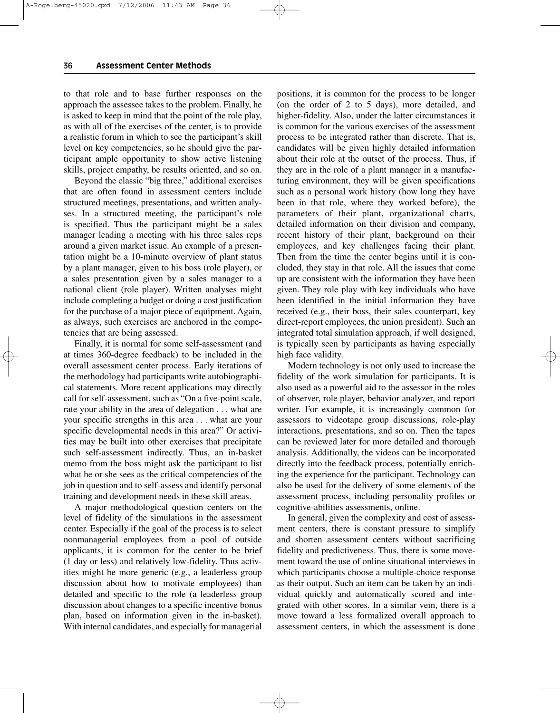#### 36———**Assessment Center Methods**

to that role and to base further responses on the approach the assessee takes to the problem. Finally, he is asked to keep in mind that the point of the role play, as with all of the exercises of the center, is to provide a realistic forum in which to see the participant's skill level on key competencies, so he should give the participant ample opportunity to show active listening skills, project empathy, be results oriented, and so on.

Beyond the classic "big three," additional exercises that are often found in assessment centers include structured meetings, presentations, and written analyses. In a structured meeting, the participant's role is specified. Thus the participant might be a sales manager leading a meeting with his three sales reps around a given market issue. An example of a presentation might be a 10-minute overview of plant status by a plant manager, given to his boss (role player), or a sales presentation given by a sales manager to a national client (role player). Written analyses might include completing a budget or doing a cost justification for the purchase of a major piece of equipment. Again, as always, such exercises are anchored in the competencies that are being assessed.

Finally, it is normal for some self-assessment (and at times 360-degree feedback) to be included in the overall assessment center process. Early iterations of the methodology had participants write autobiographical statements. More recent applications may directly call for self-assessment, such as "On a five-point scale, rate your ability in the area of delegation . . . what are your specific strengths in this area . . . what are your specific developmental needs in this area?" Or activities may be built into other exercises that precipitate such self-assessment indirectly. Thus, an in-basket memo from the boss might ask the participant to list what he or she sees as the critical competencies of the job in question and to self-assess and identify personal training and development needs in these skill areas.

A major methodological question centers on the level of fidelity of the simulations in the assessment center. Especially if the goal of the process is to select nonmanagerial employees from a pool of outside applicants, it is common for the center to be brief (1 day or less) and relatively low-fidelity. Thus activities might be more generic (e.g., a leaderless group discussion about how to motivate employees) than detailed and specific to the role (a leaderless group discussion about changes to a specific incentive bonus plan, based on information given in the in-basket). With internal candidates, and especially for managerial

positions, it is common for the process to be longer (on the order of 2 to 5 days), more detailed, and higher-fidelity. Also, under the latter circumstances it is common for the various exercises of the assessment process to be integrated rather than discrete. That is, candidates will be given highly detailed information about their role at the outset of the process. Thus, if they are in the role of a plant manager in a manufacturing environment, they will be given specifications such as a personal work history (how long they have been in that role, where they worked before), the parameters of their plant, organizational charts, detailed information on their division and company, recent history of their plant, background on their employees, and key challenges facing their plant. Then from the time the center begins until it is concluded, they stay in that role. All the issues that come up are consistent with the information they have been given. They role play with key individuals who have been identified in the initial information they have received (e.g., their boss, their sales counterpart, key direct-report employees, the union president). Such an integrated total simulation approach, if well designed, is typically seen by participants as having especially high face validity.

Modern technology is not only used to increase the fidelity of the work simulation for participants. It is also used as a powerful aid to the assessor in the roles of observer, role player, behavior analyzer, and report writer. For example, it is increasingly common for assessors to videotape group discussions, role-play interactions, presentations, and so on. Then the tapes can be reviewed later for more detailed and thorough analysis. Additionally, the videos can be incorporated directly into the feedback process, potentially enriching the experience for the participant. Technology can also be used for the delivery of some elements of the assessment process, including personality profiles or cognitive-abilities assessments, online.

In general, given the complexity and cost of assessment centers, there is constant pressure to simplify and shorten assessment centers without sacrificing fidelity and predictiveness. Thus, there is some movement toward the use of online situational interviews in which participants choose a multiple-choice response as their output. Such an item can be taken by an individual quickly and automatically scored and integrated with other scores. In a similar vein, there is a move toward a less formalized overall approach to assessment centers, in which the assessment is done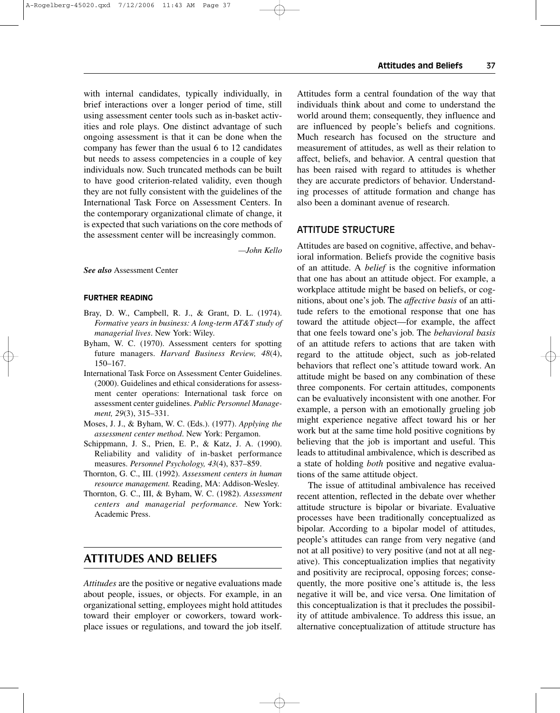with internal candidates, typically individually, in brief interactions over a longer period of time, still using assessment center tools such as in-basket activities and role plays. One distinct advantage of such ongoing assessment is that it can be done when the company has fewer than the usual 6 to 12 candidates but needs to assess competencies in a couple of key individuals now. Such truncated methods can be built to have good criterion-related validity, even though they are not fully consistent with the guidelines of the International Task Force on Assessment Centers. In the contemporary organizational climate of change, it is expected that such variations on the core methods of the assessment center will be increasingly common.

*—John Kello*

*See also* Assessment Center

### **FURTHER READING**

- Bray, D. W., Campbell, R. J., & Grant, D. L. (1974). *Formative years in business: A long-term AT&T study of managerial lives*. New York: Wiley.
- Byham, W. C. (1970). Assessment centers for spotting future managers. *Harvard Business Review, 48*(4), 150–167.
- International Task Force on Assessment Center Guidelines. (2000). Guidelines and ethical considerations for assessment center operations: International task force on assessment center guidelines. *Public Personnel Management, 29*(3), 315–331.
- Moses, J. J., & Byham, W. C. (Eds.). (1977). *Applying the assessment center method*. New York: Pergamon.
- Schippmann, J. S., Prien, E. P., & Katz, J. A. (1990). Reliability and validity of in-basket performance measures. *Personnel Psychology, 43*(4), 837–859.
- Thornton, G. C., III. (1992). *Assessment centers in human resource management.* Reading, MA: Addison-Wesley.
- Thornton, G. C., III, & Byham, W. C. (1982). *Assessment centers and managerial performance.* New York: Academic Press.

# **ATTITUDES AND BELIEFS**

*Attitudes* are the positive or negative evaluations made about people, issues, or objects. For example, in an organizational setting, employees might hold attitudes toward their employer or coworkers, toward workplace issues or regulations, and toward the job itself.

Attitudes form a central foundation of the way that individuals think about and come to understand the world around them; consequently, they influence and are influenced by people's beliefs and cognitions. Much research has focused on the structure and measurement of attitudes, as well as their relation to affect, beliefs, and behavior. A central question that has been raised with regard to attitudes is whether they are accurate predictors of behavior. Understanding processes of attitude formation and change has also been a dominant avenue of research.

## ATTITUDE STRUCTURE

Attitudes are based on cognitive, affective, and behavioral information. Beliefs provide the cognitive basis of an attitude. A *belief* is the cognitive information that one has about an attitude object. For example, a workplace attitude might be based on beliefs, or cognitions, about one's job. The *affective basis* of an attitude refers to the emotional response that one has toward the attitude object—for example, the affect that one feels toward one's job. The *behavioral basis* of an attitude refers to actions that are taken with regard to the attitude object, such as job-related behaviors that reflect one's attitude toward work. An attitude might be based on any combination of these three components. For certain attitudes, components can be evaluatively inconsistent with one another. For example, a person with an emotionally grueling job might experience negative affect toward his or her work but at the same time hold positive cognitions by believing that the job is important and useful. This leads to attitudinal ambivalence, which is described as a state of holding *both* positive and negative evaluations of the same attitude object.

The issue of attitudinal ambivalence has received recent attention, reflected in the debate over whether attitude structure is bipolar or bivariate. Evaluative processes have been traditionally conceptualized as bipolar. According to a bipolar model of attitudes, people's attitudes can range from very negative (and not at all positive) to very positive (and not at all negative). This conceptualization implies that negativity and positivity are reciprocal, opposing forces; consequently, the more positive one's attitude is, the less negative it will be, and vice versa. One limitation of this conceptualization is that it precludes the possibility of attitude ambivalence. To address this issue, an alternative conceptualization of attitude structure has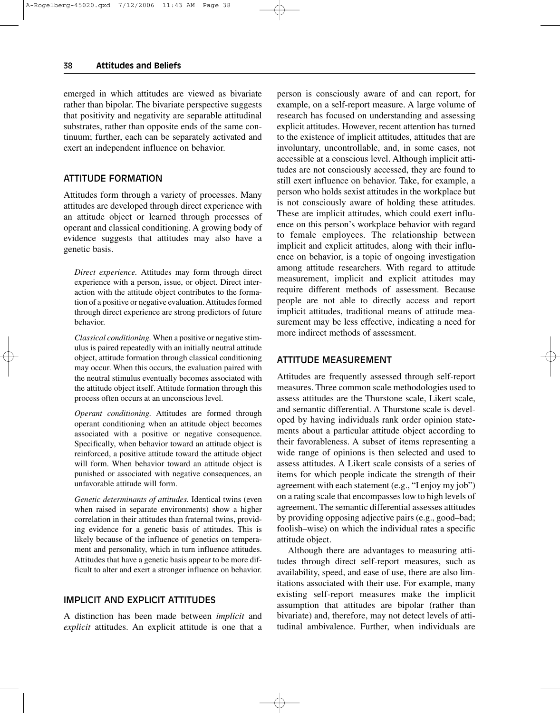#### 38———**Attitudes and Beliefs**

emerged in which attitudes are viewed as bivariate rather than bipolar. The bivariate perspective suggests that positivity and negativity are separable attitudinal substrates, rather than opposite ends of the same continuum; further, each can be separately activated and exert an independent influence on behavior.

## ATTITUDE FORMATION

Attitudes form through a variety of processes. Many attitudes are developed through direct experience with an attitude object or learned through processes of operant and classical conditioning. A growing body of evidence suggests that attitudes may also have a genetic basis.

*Direct experience.* Attitudes may form through direct experience with a person, issue, or object. Direct interaction with the attitude object contributes to the formation of a positive or negative evaluation.Attitudes formed through direct experience are strong predictors of future behavior.

*Classical conditioning.* When a positive or negative stimulus is paired repeatedly with an initially neutral attitude object, attitude formation through classical conditioning may occur. When this occurs, the evaluation paired with the neutral stimulus eventually becomes associated with the attitude object itself. Attitude formation through this process often occurs at an unconscious level.

*Operant conditioning.* Attitudes are formed through operant conditioning when an attitude object becomes associated with a positive or negative consequence. Specifically, when behavior toward an attitude object is reinforced, a positive attitude toward the attitude object will form. When behavior toward an attitude object is punished or associated with negative consequences, an unfavorable attitude will form.

*Genetic determinants of attitudes.* Identical twins (even when raised in separate environments) show a higher correlation in their attitudes than fraternal twins, providing evidence for a genetic basis of attitudes. This is likely because of the influence of genetics on temperament and personality, which in turn influence attitudes. Attitudes that have a genetic basis appear to be more difficult to alter and exert a stronger influence on behavior.

## IMPLICIT AND EXPLICIT ATTITUDES

A distinction has been made between *implicit* and *explicit* attitudes. An explicit attitude is one that a person is consciously aware of and can report, for example, on a self-report measure. A large volume of research has focused on understanding and assessing explicit attitudes. However, recent attention has turned to the existence of implicit attitudes, attitudes that are involuntary, uncontrollable, and, in some cases, not accessible at a conscious level. Although implicit attitudes are not consciously accessed, they are found to still exert influence on behavior. Take, for example, a person who holds sexist attitudes in the workplace but is not consciously aware of holding these attitudes. These are implicit attitudes, which could exert influence on this person's workplace behavior with regard to female employees. The relationship between implicit and explicit attitudes, along with their influence on behavior, is a topic of ongoing investigation among attitude researchers. With regard to attitude measurement, implicit and explicit attitudes may require different methods of assessment. Because people are not able to directly access and report implicit attitudes, traditional means of attitude measurement may be less effective, indicating a need for more indirect methods of assessment.

## ATTITUDE MEASUREMENT

Attitudes are frequently assessed through self-report measures. Three common scale methodologies used to assess attitudes are the Thurstone scale, Likert scale, and semantic differential. A Thurstone scale is developed by having individuals rank order opinion statements about a particular attitude object according to their favorableness. A subset of items representing a wide range of opinions is then selected and used to assess attitudes. A Likert scale consists of a series of items for which people indicate the strength of their agreement with each statement (e.g., "I enjoy my job") on a rating scale that encompasses low to high levels of agreement. The semantic differential assesses attitudes by providing opposing adjective pairs (e.g., good–bad; foolish–wise) on which the individual rates a specific attitude object.

Although there are advantages to measuring attitudes through direct self-report measures, such as availability, speed, and ease of use, there are also limitations associated with their use. For example, many existing self-report measures make the implicit assumption that attitudes are bipolar (rather than bivariate) and, therefore, may not detect levels of attitudinal ambivalence. Further, when individuals are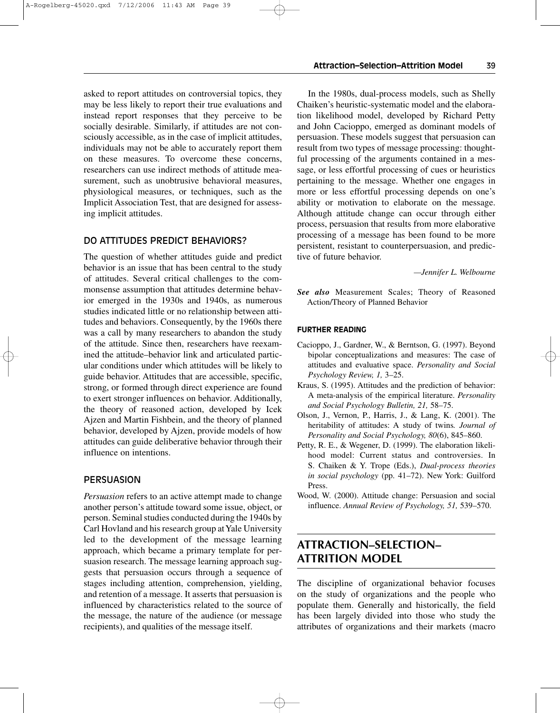asked to report attitudes on controversial topics, they may be less likely to report their true evaluations and instead report responses that they perceive to be socially desirable. Similarly, if attitudes are not consciously accessible, as in the case of implicit attitudes, individuals may not be able to accurately report them on these measures. To overcome these concerns, researchers can use indirect methods of attitude measurement, such as unobtrusive behavioral measures, physiological measures, or techniques, such as the Implicit Association Test, that are designed for assessing implicit attitudes.

## DO ATTITUDES PREDICT BEHAVIORS?

The question of whether attitudes guide and predict behavior is an issue that has been central to the study of attitudes. Several critical challenges to the commonsense assumption that attitudes determine behavior emerged in the 1930s and 1940s, as numerous studies indicated little or no relationship between attitudes and behaviors. Consequently, by the 1960s there was a call by many researchers to abandon the study of the attitude. Since then, researchers have reexamined the attitude–behavior link and articulated particular conditions under which attitudes will be likely to guide behavior. Attitudes that are accessible, specific, strong, or formed through direct experience are found to exert stronger influences on behavior. Additionally, the theory of reasoned action, developed by Icek Ajzen and Martin Fishbein, and the theory of planned behavior, developed by Ajzen, provide models of how attitudes can guide deliberative behavior through their influence on intentions.

## **PERSUASION**

*Persuasion* refers to an active attempt made to change another person's attitude toward some issue, object, or person. Seminal studies conducted during the 1940s by Carl Hovland and his research group at Yale University led to the development of the message learning approach, which became a primary template for persuasion research. The message learning approach suggests that persuasion occurs through a sequence of stages including attention, comprehension, yielding, and retention of a message. It asserts that persuasion is influenced by characteristics related to the source of the message, the nature of the audience (or message recipients), and qualities of the message itself.

In the 1980s, dual-process models, such as Shelly Chaiken's heuristic-systematic model and the elaboration likelihood model, developed by Richard Petty and John Cacioppo, emerged as dominant models of persuasion. These models suggest that persuasion can result from two types of message processing: thoughtful processing of the arguments contained in a message, or less effortful processing of cues or heuristics pertaining to the message. Whether one engages in more or less effortful processing depends on one's ability or motivation to elaborate on the message. Although attitude change can occur through either process, persuasion that results from more elaborative processing of a message has been found to be more persistent, resistant to counterpersuasion, and predictive of future behavior.

*—Jennifer L. Welbourne*

*See also* Measurement Scales; Theory of Reasoned Action/Theory of Planned Behavior

#### **FURTHER READING**

- Cacioppo, J., Gardner, W., & Berntson, G. (1997). Beyond bipolar conceptualizations and measures: The case of attitudes and evaluative space. *Personality and Social Psychology Review, 1,* 3–25.
- Kraus, S. (1995). Attitudes and the prediction of behavior: A meta-analysis of the empirical literature. *Personality and Social Psychology Bulletin, 21,* 58–75.
- Olson, J., Vernon, P., Harris, J., & Lang, K. (2001). The heritability of attitudes: A study of twins*. Journal of Personality and Social Psychology, 80*(6), 845–860.
- Petty, R. E., & Wegener, D. (1999). The elaboration likelihood model: Current status and controversies. In S. Chaiken & Y. Trope (Eds.), *Dual-process theories in social psychology* (pp. 41–72). New York: Guilford Press.
- Wood, W. (2000). Attitude change: Persuasion and social influence. *Annual Review of Psychology, 51,* 539–570.

# **ATTRACTION–SELECTION– ATTRITION MODEL**

The discipline of organizational behavior focuses on the study of organizations and the people who populate them. Generally and historically, the field has been largely divided into those who study the attributes of organizations and their markets (macro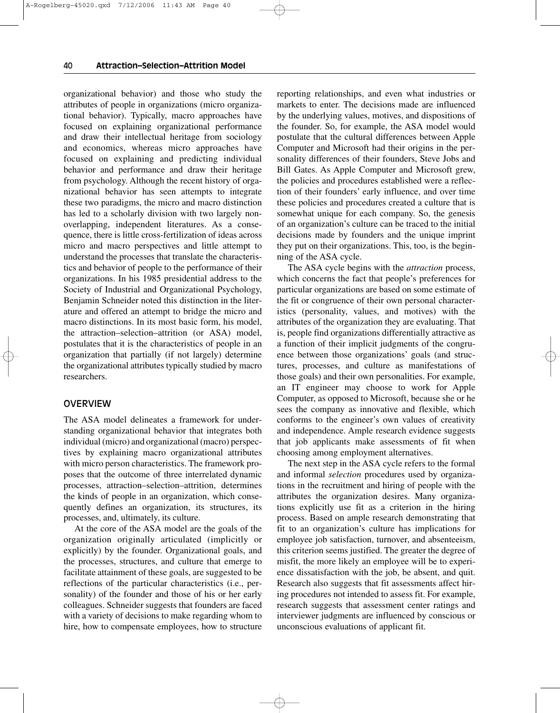#### 40———**Attraction–Selection–Attrition Model**

organizational behavior) and those who study the attributes of people in organizations (micro organizational behavior). Typically, macro approaches have focused on explaining organizational performance and draw their intellectual heritage from sociology and economics, whereas micro approaches have focused on explaining and predicting individual behavior and performance and draw their heritage from psychology. Although the recent history of organizational behavior has seen attempts to integrate these two paradigms, the micro and macro distinction has led to a scholarly division with two largely nonoverlapping, independent literatures. As a consequence, there is little cross-fertilization of ideas across micro and macro perspectives and little attempt to understand the processes that translate the characteristics and behavior of people to the performance of their organizations. In his 1985 presidential address to the Society of Industrial and Organizational Psychology, Benjamin Schneider noted this distinction in the literature and offered an attempt to bridge the micro and macro distinctions. In its most basic form, his model, the attraction–selection–attrition (or ASA) model, postulates that it is the characteristics of people in an organization that partially (if not largely) determine the organizational attributes typically studied by macro researchers.

### OVERVIEW

The ASA model delineates a framework for understanding organizational behavior that integrates both individual (micro) and organizational (macro) perspectives by explaining macro organizational attributes with micro person characteristics. The framework proposes that the outcome of three interrelated dynamic processes, attraction–selection–attrition, determines the kinds of people in an organization, which consequently defines an organization, its structures, its processes, and, ultimately, its culture.

At the core of the ASA model are the goals of the organization originally articulated (implicitly or explicitly) by the founder. Organizational goals, and the processes, structures, and culture that emerge to facilitate attainment of these goals, are suggested to be reflections of the particular characteristics (i.e., personality) of the founder and those of his or her early colleagues. Schneider suggests that founders are faced with a variety of decisions to make regarding whom to hire, how to compensate employees, how to structure reporting relationships, and even what industries or markets to enter. The decisions made are influenced by the underlying values, motives, and dispositions of the founder. So, for example, the ASA model would postulate that the cultural differences between Apple Computer and Microsoft had their origins in the personality differences of their founders, Steve Jobs and Bill Gates. As Apple Computer and Microsoft grew, the policies and procedures established were a reflection of their founders' early influence, and over time these policies and procedures created a culture that is somewhat unique for each company. So, the genesis of an organization's culture can be traced to the initial decisions made by founders and the unique imprint they put on their organizations. This, too, is the beginning of the ASA cycle.

The ASA cycle begins with the *attraction* process, which concerns the fact that people's preferences for particular organizations are based on some estimate of the fit or congruence of their own personal characteristics (personality, values, and motives) with the attributes of the organization they are evaluating. That is, people find organizations differentially attractive as a function of their implicit judgments of the congruence between those organizations' goals (and structures, processes, and culture as manifestations of those goals) and their own personalities. For example, an IT engineer may choose to work for Apple Computer, as opposed to Microsoft, because she or he sees the company as innovative and flexible, which conforms to the engineer's own values of creativity and independence. Ample research evidence suggests that job applicants make assessments of fit when choosing among employment alternatives.

The next step in the ASA cycle refers to the formal and informal *selection* procedures used by organizations in the recruitment and hiring of people with the attributes the organization desires. Many organizations explicitly use fit as a criterion in the hiring process. Based on ample research demonstrating that fit to an organization's culture has implications for employee job satisfaction, turnover, and absenteeism, this criterion seems justified. The greater the degree of misfit, the more likely an employee will be to experience dissatisfaction with the job, be absent, and quit. Research also suggests that fit assessments affect hiring procedures not intended to assess fit. For example, research suggests that assessment center ratings and interviewer judgments are influenced by conscious or unconscious evaluations of applicant fit.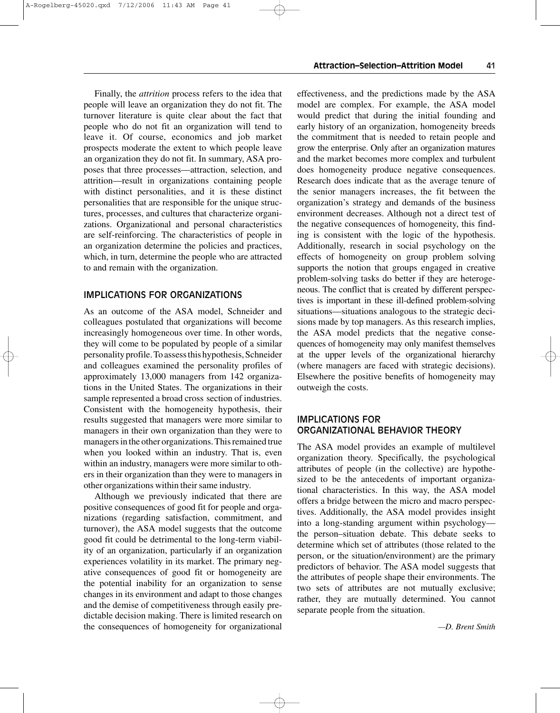Finally, the *attrition* process refers to the idea that people will leave an organization they do not fit. The turnover literature is quite clear about the fact that people who do not fit an organization will tend to leave it. Of course, economics and job market prospects moderate the extent to which people leave an organization they do not fit. In summary, ASA proposes that three processes—attraction, selection, and attrition—result in organizations containing people with distinct personalities, and it is these distinct personalities that are responsible for the unique structures, processes, and cultures that characterize organizations. Organizational and personal characteristics are self-reinforcing. The characteristics of people in an organization determine the policies and practices, which, in turn, determine the people who are attracted to and remain with the organization.

### IMPLICATIONS FOR ORGANIZATIONS

As an outcome of the ASA model, Schneider and colleagues postulated that organizations will become increasingly homogeneous over time. In other words, they will come to be populated by people of a similar personality profile.To assess this hypothesis, Schneider and colleagues examined the personality profiles of approximately 13,000 managers from 142 organizations in the United States. The organizations in their sample represented a broad cross section of industries. Consistent with the homogeneity hypothesis, their results suggested that managers were more similar to managers in their own organization than they were to managers in the other organizations. This remained true when you looked within an industry. That is, even within an industry, managers were more similar to others in their organization than they were to managers in other organizations within their same industry.

Although we previously indicated that there are positive consequences of good fit for people and organizations (regarding satisfaction, commitment, and turnover), the ASA model suggests that the outcome good fit could be detrimental to the long-term viability of an organization, particularly if an organization experiences volatility in its market. The primary negative consequences of good fit or homogeneity are the potential inability for an organization to sense changes in its environment and adapt to those changes and the demise of competitiveness through easily predictable decision making. There is limited research on the consequences of homogeneity for organizational

effectiveness, and the predictions made by the ASA model are complex. For example, the ASA model would predict that during the initial founding and early history of an organization, homogeneity breeds the commitment that is needed to retain people and grow the enterprise. Only after an organization matures and the market becomes more complex and turbulent does homogeneity produce negative consequences. Research does indicate that as the average tenure of the senior managers increases, the fit between the organization's strategy and demands of the business environment decreases. Although not a direct test of the negative consequences of homogeneity, this finding is consistent with the logic of the hypothesis. Additionally, research in social psychology on the effects of homogeneity on group problem solving supports the notion that groups engaged in creative problem-solving tasks do better if they are heterogeneous. The conflict that is created by different perspectives is important in these ill-defined problem-solving situations—situations analogous to the strategic decisions made by top managers. As this research implies, the ASA model predicts that the negative consequences of homogeneity may only manifest themselves at the upper levels of the organizational hierarchy (where managers are faced with strategic decisions). Elsewhere the positive benefits of homogeneity may outweigh the costs.

## IMPLICATIONS FOR ORGANIZATIONAL BEHAVIOR THEORY

The ASA model provides an example of multilevel organization theory. Specifically, the psychological attributes of people (in the collective) are hypothesized to be the antecedents of important organizational characteristics. In this way, the ASA model offers a bridge between the micro and macro perspectives. Additionally, the ASA model provides insight into a long-standing argument within psychology the person–situation debate. This debate seeks to determine which set of attributes (those related to the person, or the situation/environment) are the primary predictors of behavior. The ASA model suggests that the attributes of people shape their environments. The two sets of attributes are not mutually exclusive; rather, they are mutually determined. You cannot separate people from the situation.

*—D. Brent Smith*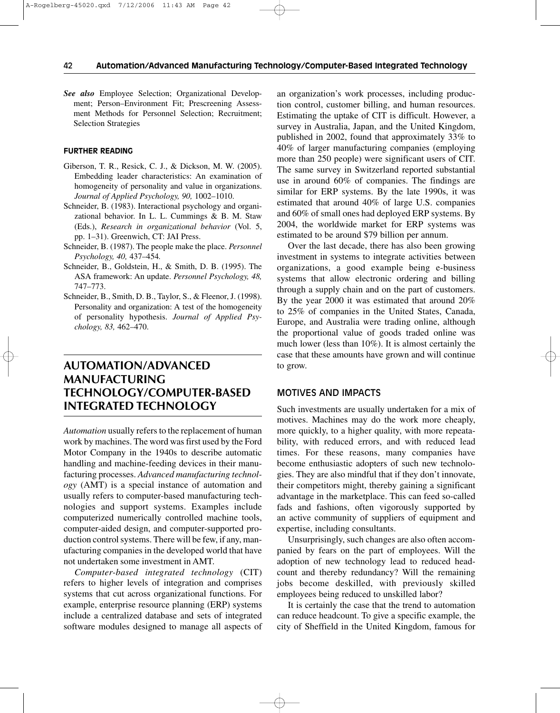#### 42———**Automation/Advanced Manufacturing Technology/Computer-Based Integrated Technology**

*See also* Employee Selection; Organizational Development; Person–Environment Fit; Prescreening Assessment Methods for Personnel Selection; Recruitment; Selection Strategies

## **FURTHER READING**

- Giberson, T. R., Resick, C. J., & Dickson, M. W. (2005). Embedding leader characteristics: An examination of homogeneity of personality and value in organizations. *Journal of Applied Psychology, 90,* 1002–1010.
- Schneider, B. (1983). Interactional psychology and organizational behavior. In L. L. Cummings & B. M. Staw (Eds.), *Research in organizational behavior* (Vol. 5, pp. 1–31). Greenwich, CT: JAI Press.
- Schneider, B. (1987). The people make the place. *Personnel Psychology, 40,* 437–454*.*
- Schneider, B., Goldstein, H., & Smith, D. B. (1995). The ASA framework: An update. *Personnel Psychology, 48,* 747–773.
- Schneider, B., Smith, D. B., Taylor, S., & Fleenor, J. (1998). Personality and organization: A test of the homogeneity of personality hypothesis. *Journal of Applied Psychology, 83,* 462–470.

# **AUTOMATION/ADVANCED MANUFACTURING TECHNOLOGY/COMPUTER-BASED INTEGRATED TECHNOLOGY**

*Automation* usually refers to the replacement of human work by machines. The word was first used by the Ford Motor Company in the 1940s to describe automatic handling and machine-feeding devices in their manufacturing processes. *Advanced manufacturing technology* (AMT) is a special instance of automation and usually refers to computer-based manufacturing technologies and support systems. Examples include computerized numerically controlled machine tools, computer-aided design, and computer-supported production control systems. There will be few, if any, manufacturing companies in the developed world that have not undertaken some investment in AMT.

*Computer-based integrated technology* (CIT) refers to higher levels of integration and comprises systems that cut across organizational functions. For example, enterprise resource planning (ERP) systems include a centralized database and sets of integrated software modules designed to manage all aspects of an organization's work processes, including production control, customer billing, and human resources. Estimating the uptake of CIT is difficult. However, a survey in Australia, Japan, and the United Kingdom, published in 2002, found that approximately 33% to 40% of larger manufacturing companies (employing more than 250 people) were significant users of CIT. The same survey in Switzerland reported substantial use in around 60% of companies. The findings are similar for ERP systems. By the late 1990s, it was estimated that around 40% of large U.S. companies and 60% of small ones had deployed ERP systems. By 2004, the worldwide market for ERP systems was estimated to be around \$79 billion per annum.

Over the last decade, there has also been growing investment in systems to integrate activities between organizations, a good example being e-business systems that allow electronic ordering and billing through a supply chain and on the part of customers. By the year 2000 it was estimated that around 20% to 25% of companies in the United States, Canada, Europe, and Australia were trading online, although the proportional value of goods traded online was much lower (less than 10%). It is almost certainly the case that these amounts have grown and will continue to grow.

## MOTIVES AND IMPACTS

Such investments are usually undertaken for a mix of motives. Machines may do the work more cheaply, more quickly, to a higher quality, with more repeatability, with reduced errors, and with reduced lead times. For these reasons, many companies have become enthusiastic adopters of such new technologies. They are also mindful that if they don't innovate, their competitors might, thereby gaining a significant advantage in the marketplace. This can feed so-called fads and fashions, often vigorously supported by an active community of suppliers of equipment and expertise, including consultants.

Unsurprisingly, such changes are also often accompanied by fears on the part of employees. Will the adoption of new technology lead to reduced headcount and thereby redundancy? Will the remaining jobs become deskilled, with previously skilled employees being reduced to unskilled labor?

It is certainly the case that the trend to automation can reduce headcount. To give a specific example, the city of Sheffield in the United Kingdom, famous for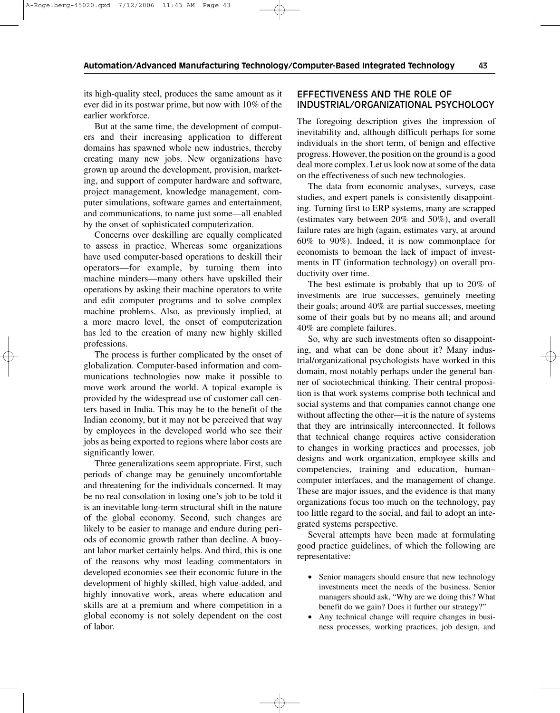its high-quality steel, produces the same amount as it ever did in its postwar prime, but now with 10% of the earlier workforce.

A-Rogelberg-45020.qxd 7/12/2006 11:43 AM Page 43

But at the same time, the development of computers and their increasing application to different domains has spawned whole new industries, thereby creating many new jobs. New organizations have grown up around the development, provision, marketing, and support of computer hardware and software, project management, knowledge management, computer simulations, software games and entertainment, and communications, to name just some—all enabled by the onset of sophisticated computerization.

Concerns over deskilling are equally complicated to assess in practice. Whereas some organizations have used computer-based operations to deskill their operators—for example, by turning them into machine minders—many others have upskilled their operations by asking their machine operators to write and edit computer programs and to solve complex machine problems. Also, as previously implied, at a more macro level, the onset of computerization has led to the creation of many new highly skilled professions.

The process is further complicated by the onset of globalization. Computer-based information and communications technologies now make it possible to move work around the world. A topical example is provided by the widespread use of customer call centers based in India. This may be to the benefit of the Indian economy, but it may not be perceived that way by employees in the developed world who see their jobs as being exported to regions where labor costs are significantly lower.

Three generalizations seem appropriate. First, such periods of change may be genuinely uncomfortable and threatening for the individuals concerned. It may be no real consolation in losing one's job to be told it is an inevitable long-term structural shift in the nature of the global economy. Second, such changes are likely to be easier to manage and endure during periods of economic growth rather than decline. A buoyant labor market certainly helps. And third, this is one of the reasons why most leading commentators in developed economies see their economic future in the development of highly skilled, high value-added, and highly innovative work, areas where education and skills are at a premium and where competition in a global economy is not solely dependent on the cost of labor.

## EFFECTIVENESS AND THE ROLE OF INDUSTRIAL/ORGANIZATIONAL PSYCHOLOGY

The foregoing description gives the impression of inevitability and, although difficult perhaps for some individuals in the short term, of benign and effective progress. However, the position on the ground is a good deal more complex. Let us look now at some of the data on the effectiveness of such new technologies.

The data from economic analyses, surveys, case studies, and expert panels is consistently disappointing. Turning first to ERP systems, many are scrapped (estimates vary between 20% and 50%), and overall failure rates are high (again, estimates vary, at around 60% to 90%). Indeed, it is now commonplace for economists to bemoan the lack of impact of investments in IT (information technology) on overall productivity over time.

The best estimate is probably that up to 20% of investments are true successes, genuinely meeting their goals; around 40% are partial successes, meeting some of their goals but by no means all; and around 40% are complete failures.

So, why are such investments often so disappointing, and what can be done about it? Many industrial/organizational psychologists have worked in this domain, most notably perhaps under the general banner of sociotechnical thinking. Their central proposition is that work systems comprise both technical and social systems and that companies cannot change one without affecting the other—it is the nature of systems that they are intrinsically interconnected. It follows that technical change requires active consideration to changes in working practices and processes, job designs and work organization, employee skills and competencies, training and education, human– computer interfaces, and the management of change. These are major issues, and the evidence is that many organizations focus too much on the technology, pay too little regard to the social, and fail to adopt an integrated systems perspective.

Several attempts have been made at formulating good practice guidelines, of which the following are representative:

- Senior managers should ensure that new technology investments meet the needs of the business. Senior managers should ask, "Why are we doing this? What benefit do we gain? Does it further our strategy?"
- Any technical change will require changes in business processes, working practices, job design, and